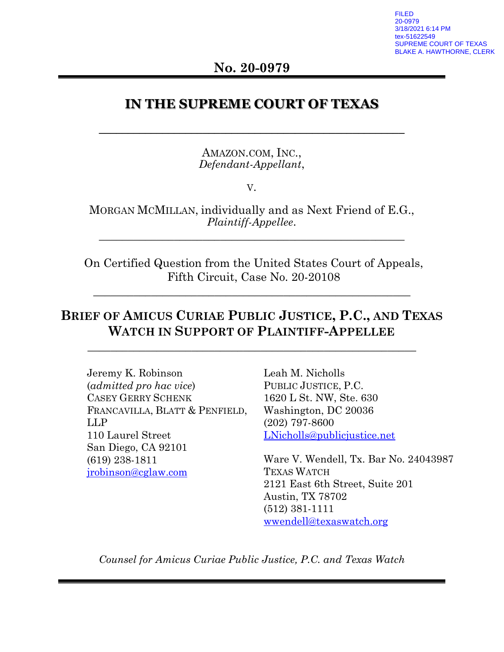FILED 20-0979 3/18/2021 6:14 PM 51622549 UPREME COURT OF TEXAS BLAKE A. HAWTHORNE, CLERK

## **No. 20-0979**

## **IN THE SUPREME COURT OF TEXAS**

**\_\_\_\_\_\_\_\_\_\_\_\_\_\_\_\_\_\_\_\_\_\_\_\_\_\_\_\_\_\_\_\_\_\_\_\_\_\_\_\_\_\_\_\_\_\_\_\_\_\_\_\_\_**

AMAZON.COM, INC., *Defendant-Appellant*,

V.

MORGAN MCMILLAN, individually and as Next Friend of E.G., *Plaintiff-Appellee*.

\_\_\_\_\_\_\_\_\_\_\_\_\_\_\_\_\_\_\_\_\_\_\_\_\_\_\_\_\_\_\_\_\_\_\_\_\_\_\_\_\_\_\_\_\_\_\_\_\_\_\_\_\_

On Certified Question from the United States Court of Appeals, Fifth Circuit, Case No. 20-20108

\_\_\_\_\_\_\_\_\_\_\_\_\_\_\_\_\_\_\_\_\_\_\_\_\_\_\_\_\_\_\_\_\_\_\_\_\_\_\_\_\_\_\_\_\_\_\_\_\_\_\_\_\_\_\_

## **BRIEF OF AMICUS CURIAE PUBLIC JUSTICE, P.C., AND TEXAS WATCH IN SUPPORT OF PLAINTIFF-APPELLEE**

**\_\_\_\_\_\_\_\_\_\_\_\_\_\_\_\_\_\_\_\_\_\_\_\_\_\_\_\_\_\_\_\_\_\_\_\_\_\_\_\_\_\_\_\_\_\_\_\_\_\_\_\_\_\_\_\_\_**

Jeremy K. Robinson (*admitted pro hac vice*) CASEY GERRY SCHENK FRANCAVILLA, BLATT & PENFIELD, LLP 110 Laurel Street San Diego, CA 92101 (619) 238-1811 [jrobinson@cglaw.com](mailto:jrobinson@cglaw.com)

Leah M. Nicholls PUBLIC JUSTICE, P.C. 1620 L St. NW, Ste. 630 Washington, DC 20036 (202) 797-8600 [LNicholls@publicjustice.net](mailto:LNicholls@publicjustice.net)

Ware V. Wendell, Tx. Bar No. 24043987 TEXAS WATCH 2121 East 6th Street, Suite 201 Austin, TX 78702 (512) 381-1111 [wwendell@texaswatch.org](mailto:wwendell@texaswatch.org)

*Counsel for Amicus Curiae Public Justice, P.C. and Texas Watch*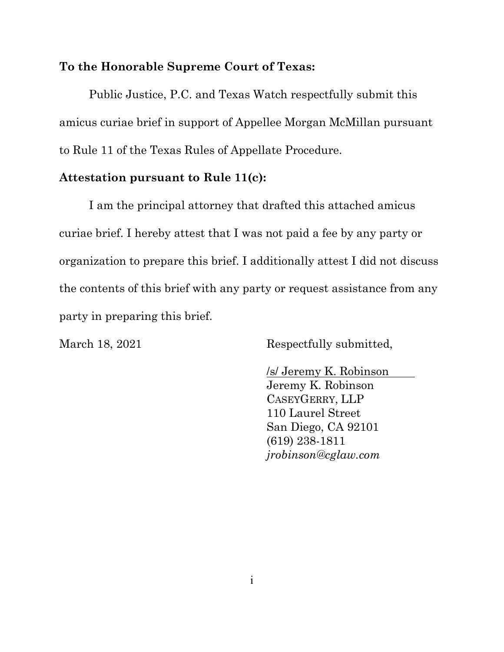#### **To the Honorable Supreme Court of Texas:**

Public Justice, P.C. and Texas Watch respectfully submit this amicus curiae brief in support of Appellee Morgan McMillan pursuant to Rule 11 of the Texas Rules of Appellate Procedure.

#### **Attestation pursuant to Rule 11(c):**

I am the principal attorney that drafted this attached amicus curiae brief. I hereby attest that I was not paid a fee by any party or organization to prepare this brief. I additionally attest I did not discuss the contents of this brief with any party or request assistance from any party in preparing this brief.

March 18, 2021 Respectfully submitted,

/s/ Jeremy K. Robinson Jeremy K. Robinson CASEYGERRY, LLP 110 Laurel Street San Diego, CA 92101 (619) 238-1811 *jrobinson@cglaw.com*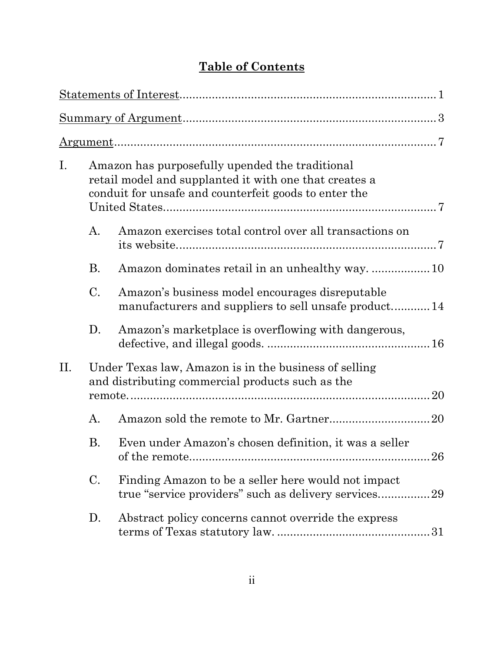# **Table of Contents**

| $I_{\cdot}$ | Amazon has purposefully upended the traditional<br>retail model and supplanted it with one that creates a<br>conduit for unsafe and counterfeit goods to enter the |                                                                                                                 |  |
|-------------|--------------------------------------------------------------------------------------------------------------------------------------------------------------------|-----------------------------------------------------------------------------------------------------------------|--|
|             | A.                                                                                                                                                                 | Amazon exercises total control over all transactions on                                                         |  |
|             | <b>B.</b>                                                                                                                                                          |                                                                                                                 |  |
|             | $C_{\cdot}$                                                                                                                                                        | Amazon's business model encourages disreputable<br>manufacturers and suppliers to sell unsafe product14         |  |
|             | D.                                                                                                                                                                 | Amazon's marketplace is overflowing with dangerous,                                                             |  |
| II.         |                                                                                                                                                                    | Under Texas law, Amazon is in the business of selling<br>and distributing commercial products such as the<br>20 |  |
|             | A.                                                                                                                                                                 |                                                                                                                 |  |
|             | <b>B.</b>                                                                                                                                                          | Even under Amazon's chosen definition, it was a seller                                                          |  |
|             | $\mathcal{C}$ .                                                                                                                                                    | Finding Amazon to be a seller here would not impact<br>true "service providers" such as delivery services29     |  |
|             | D.                                                                                                                                                                 | Abstract policy concerns cannot override the express                                                            |  |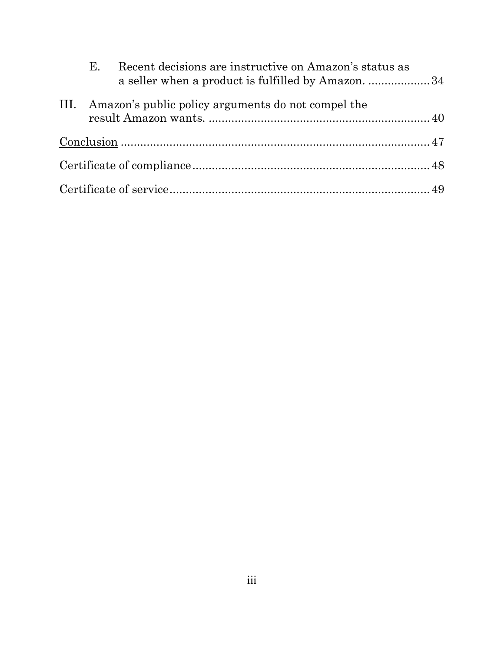| Е. | Recent decisions are instructive on Amazon's status as<br>a seller when a product is fulfilled by Amazon. 34 |  |
|----|--------------------------------------------------------------------------------------------------------------|--|
|    | III. Amazon's public policy arguments do not compel the                                                      |  |
|    |                                                                                                              |  |
|    |                                                                                                              |  |
|    |                                                                                                              |  |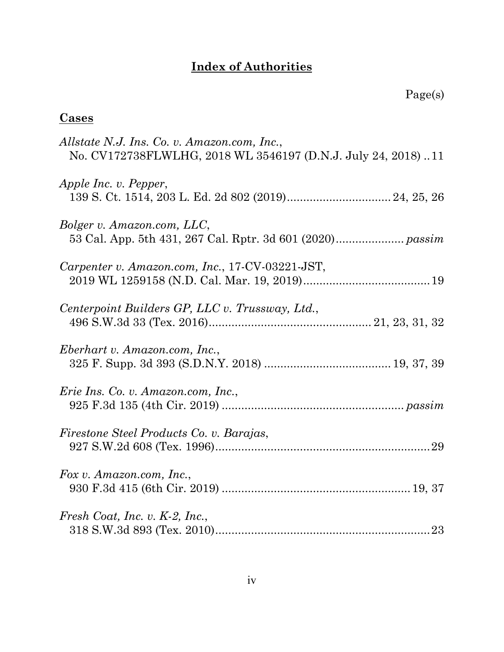# **Index of Authorities**

# **Cases**

| Allstate N.J. Ins. Co. v. Amazon.com, Inc.,<br>No. CV172738FLWLHG, 2018 WL 3546197 (D.N.J. July 24, 2018)11 |
|-------------------------------------------------------------------------------------------------------------|
| Apple Inc. v. Pepper,                                                                                       |
| Bolger v. Amazon.com, LLC,                                                                                  |
| Carpenter v. Amazon.com, Inc., 17-CV-03221-JST,                                                             |
| Centerpoint Builders GP, LLC v. Trussway, Ltd.,                                                             |
| Eberhart v. Amazon.com, Inc.,                                                                               |
| Erie Ins. Co. v. Amazon.com, Inc.,                                                                          |
| Firestone Steel Products Co. v. Barajas,                                                                    |
| Fox v. Amazon.com, Inc.,                                                                                    |
| Fresh Coat, Inc. v. $K-2$ , Inc.,                                                                           |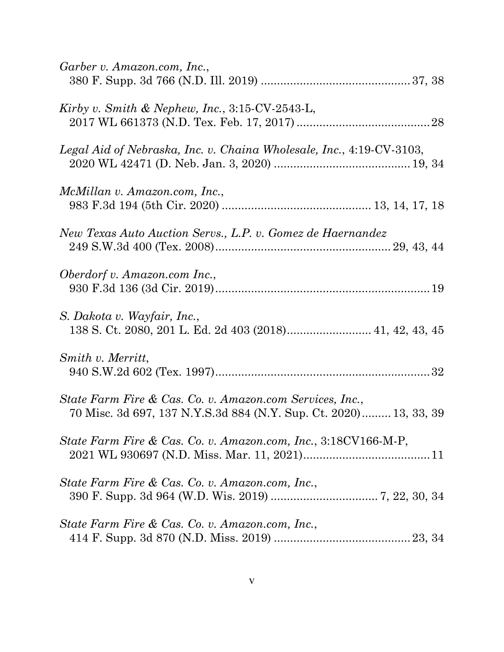| Garber v. Amazon.com, Inc.,                                                                                                   |
|-------------------------------------------------------------------------------------------------------------------------------|
| Kirby v. Smith & Nephew, Inc., $3:15$ -CV-2543-L,                                                                             |
| Legal Aid of Nebraska, Inc. v. Chaina Wholesale, Inc., 4:19-CV-3103,                                                          |
| McMillan v. Amazon.com, Inc.,                                                                                                 |
| New Texas Auto Auction Servs., L.P. v. Gomez de Haernandez                                                                    |
| Oberdorf v. Amazon.com Inc.,                                                                                                  |
| S. Dakota v. Wayfair, Inc.,                                                                                                   |
| Smith v. Merritt,                                                                                                             |
| State Farm Fire & Cas. Co. v. Amazon.com Services, Inc.,<br>70 Misc. 3d 697, 137 N.Y.S.3d 884 (N.Y. Sup. Ct. 2020) 13, 33, 39 |
| State Farm Fire & Cas. Co. v. Amazon.com, Inc., 3:18CV166-M-P,                                                                |
| State Farm Fire & Cas. Co. v. Amazon.com, Inc.,                                                                               |
| State Farm Fire & Cas. Co. v. Amazon.com, Inc.,                                                                               |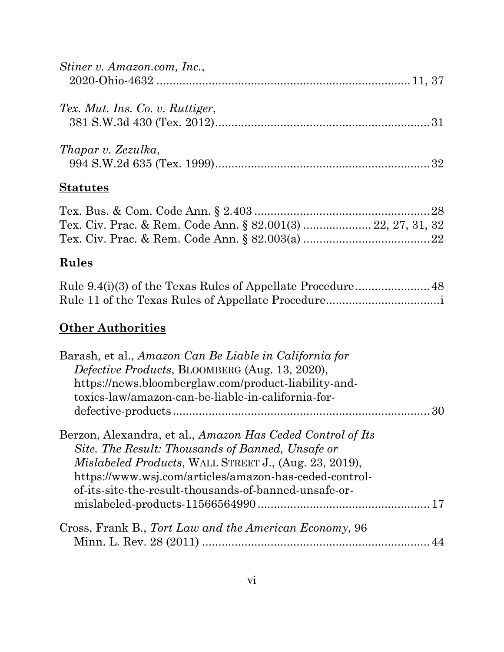| Stiner v. Amazon.com, Inc.,     |  |
|---------------------------------|--|
| Tex. Mut. Ins. Co. v. Ruttiger, |  |
| Thapar v. Zezulka,              |  |

# **Statutes**

# **Rules**

# **Other Authorities**

| Barash, et al., Amazon Can Be Liable in California for     |  |
|------------------------------------------------------------|--|
| Defective Products, BLOOMBERG (Aug. 13, 2020),             |  |
| https://news.bloomberglaw.com/product-liability-and-       |  |
| toxics-law/amazon-can-be-liable-in-california-for-         |  |
|                                                            |  |
| Berzon, Alexandra, et al., Amazon Has Ceded Control of Its |  |
| Site. The Result: Thousands of Banned, Unsafe or           |  |
| Mislabeled Products, WALL STREET J., (Aug. 23, 2019),      |  |
| https://www.wsj.com/articles/amazon-has-ceded-control-     |  |
| of-its-site-the-result-thousands-of-banned-unsafe-or-      |  |
|                                                            |  |
| Cross, Frank B., Tort Law and the American Economy, 96     |  |
|                                                            |  |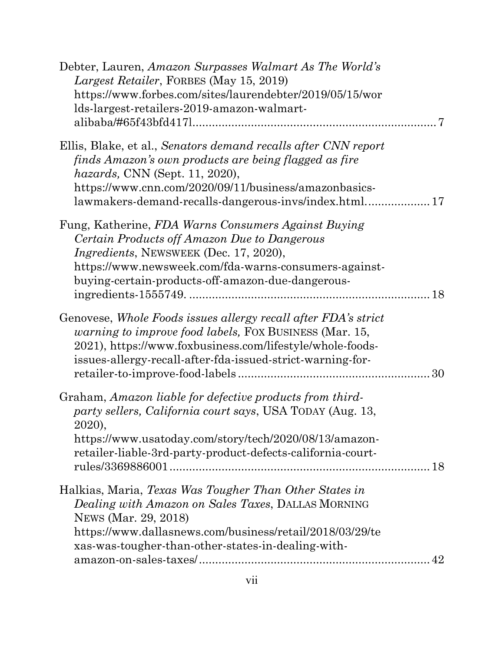| Debter, Lauren, Amazon Surpasses Walmart As The World's<br>Largest Retailer, FORBES (May 15, 2019)<br>https://www.forbes.com/sites/laurendebter/2019/05/15/wor<br>lds-largest-retailers-2019-amazon-walmart-                                                             |
|--------------------------------------------------------------------------------------------------------------------------------------------------------------------------------------------------------------------------------------------------------------------------|
| Ellis, Blake, et al., Senators demand recalls after CNN report<br>finds Amazon's own products are being flagged as fire<br>hazards, CNN (Sept. 11, 2020),<br>https://www.cnn.com/2020/09/11/business/amazonbasics-                                                       |
| Fung, Katherine, FDA Warns Consumers Against Buying<br>Certain Products off Amazon Due to Dangerous<br><i>Ingredients, NEWSWEEK (Dec. 17, 2020),</i><br>https://www.newsweek.com/fda-warns-consumers-against-<br>buying-certain-products-off-amazon-due-dangerous-<br>18 |
| Genovese, Whole Foods issues allergy recall after FDA's strict<br><i>warning to improve food labels, FOX BUSINESS (Mar. 15,</i><br>2021), https://www.foxbusiness.com/lifestyle/whole-foods-<br>issues-allergy-recall-after-fda-issued-strict-warning-for-               |
| Graham, Amazon liable for defective products from third-<br>party sellers, California court says, USA TODAY (Aug. 13,<br>2020).<br>https://www.usatoday.com/story/tech/2020/08/13/amazon-<br>retailer-liable-3rd-party-product-defects-california-court-                 |
| Halkias, Maria, Texas Was Tougher Than Other States in<br>Dealing with Amazon on Sales Taxes, DALLAS MORNING<br>NEWS (Mar. 29, 2018)<br>https://www.dallasnews.com/business/retail/2018/03/29/te<br>xas-was-tougher-than-other-states-in-dealing-with-                   |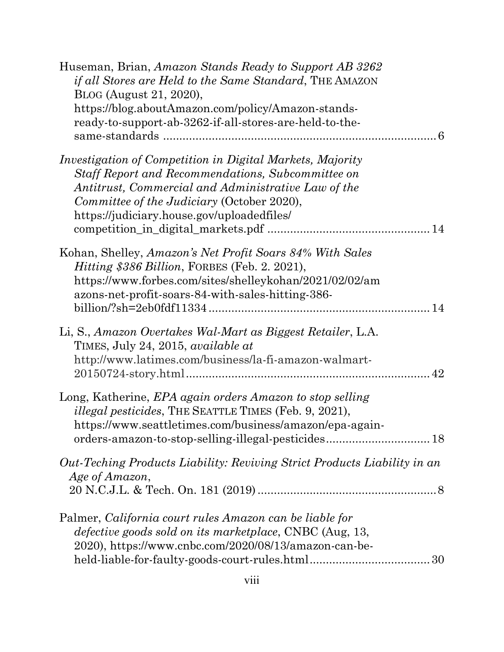| Huseman, Brian, Amazon Stands Ready to Support AB 3262<br><i>if all Stores are Held to the Same Standard</i> , THE AMAZON<br>BLOG (August 21, 2020),<br>https://blog.aboutAmazon.com/policy/Amazon-stands-<br>ready-to-support-ab-3262-if-all-stores-are-held-to-the-    |
|--------------------------------------------------------------------------------------------------------------------------------------------------------------------------------------------------------------------------------------------------------------------------|
| Investigation of Competition in Digital Markets, Majority<br><b>Staff Report and Recommendations, Subcommittee on</b><br>Antitrust, Commercial and Administrative Law of the<br>Committee of the Judiciary (October 2020),<br>https://judiciary.house.gov/uploadedfiles/ |
| Kohan, Shelley, Amazon's Net Profit Soars 84% With Sales<br><i>Hitting \$386 Billion, FORBES (Feb. 2. 2021),</i><br>https://www.forbes.com/sites/shelleykohan/2021/02/02/am<br>azons-net-profit-soars-84-with-sales-hitting-386-                                         |
| Li, S., Amazon Overtakes Wal-Mart as Biggest Retailer, L.A.<br>TIMES, July 24, 2015, <i>available at</i><br>http://www.latimes.com/business/la-fi-amazon-walmart-<br>42                                                                                                  |
| Long, Katherine, EPA again orders Amazon to stop selling<br><i>illegal pesticides</i> , THE SEATTLE TIMES (Feb. 9, 2021),<br>https://www.seattletimes.com/business/amazon/epa-again-                                                                                     |
| Out-Teching Products Liability: Reviving Strict Products Liability in an<br>Age of Amazon,                                                                                                                                                                               |
| Palmer, California court rules Amazon can be liable for<br><i>defective goods sold on its marketplace, CNBC (Aug, 13,</i><br>2020), https://www.cnbc.com/2020/08/13/amazon-can-be-                                                                                       |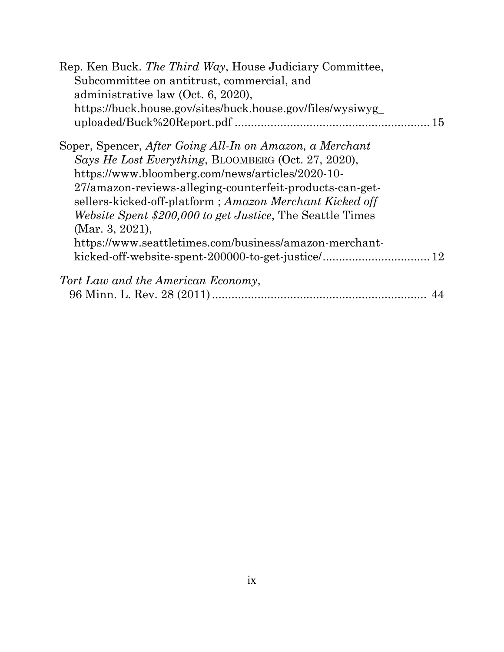| Rep. Ken Buck. The Third Way, House Judiciary Committee,          |
|-------------------------------------------------------------------|
| Subcommittee on antitrust, commercial, and                        |
| administrative law (Oct. 6, 2020),                                |
| https://buck.house.gov/sites/buck.house.gov/files/wysiwyg_        |
| 15                                                                |
| Soper, Spencer, After Going All-In on Amazon, a Merchant          |
| Says He Lost Everything, BLOOMBERG (Oct. 27, 2020),               |
| https://www.bloomberg.com/news/articles/2020-10-                  |
| 27/amazon-reviews-alleging-counterfeit-products-can-get-          |
| sellers-kicked-off-platform; Amazon Merchant Kicked off           |
| <i>Website Spent \$200,000 to get Justice</i> , The Seattle Times |
| (Mar. 3, 2021),                                                   |
| https://www.seattletimes.com/business/amazon-merchant-            |
|                                                                   |
| Tort Law and the American Economy,                                |
|                                                                   |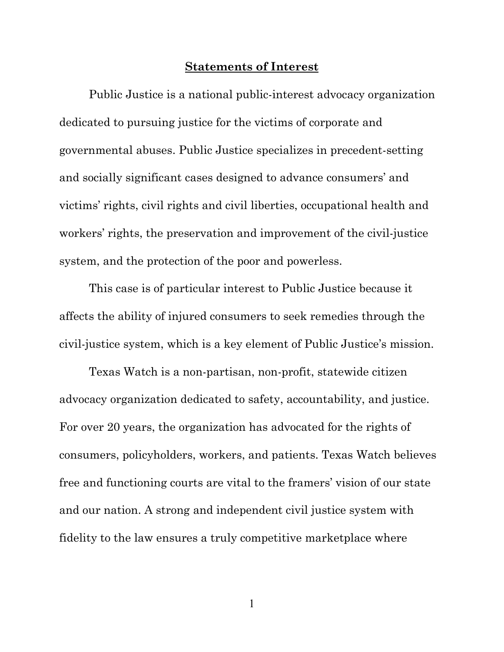#### **Statements of Interest**

Public Justice is a national public-interest advocacy organization dedicated to pursuing justice for the victims of corporate and governmental abuses. Public Justice specializes in precedent-setting and socially significant cases designed to advance consumers' and victims' rights, civil rights and civil liberties, occupational health and workers' rights, the preservation and improvement of the civil-justice system, and the protection of the poor and powerless.

This case is of particular interest to Public Justice because it affects the ability of injured consumers to seek remedies through the civil-justice system, which is a key element of Public Justice's mission.

Texas Watch is a non-partisan, non-profit, statewide citizen advocacy organization dedicated to safety, accountability, and justice. For over 20 years, the organization has advocated for the rights of consumers, policyholders, workers, and patients. Texas Watch believes free and functioning courts are vital to the framers' vision of our state and our nation. A strong and independent civil justice system with fidelity to the law ensures a truly competitive marketplace where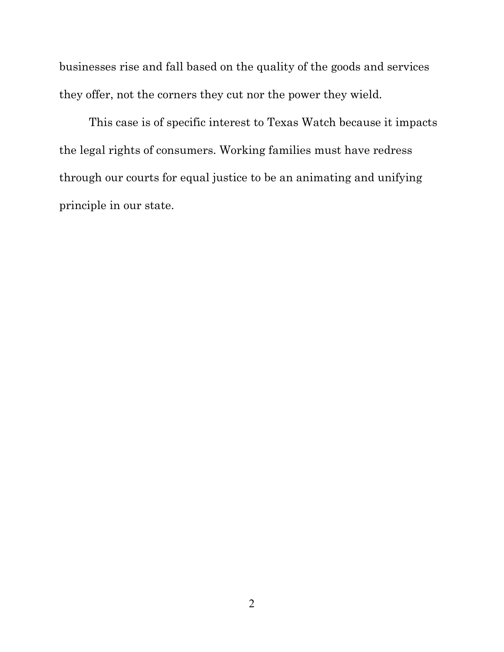businesses rise and fall based on the quality of the goods and services they offer, not the corners they cut nor the power they wield.

This case is of specific interest to Texas Watch because it impacts the legal rights of consumers. Working families must have redress through our courts for equal justice to be an animating and unifying principle in our state.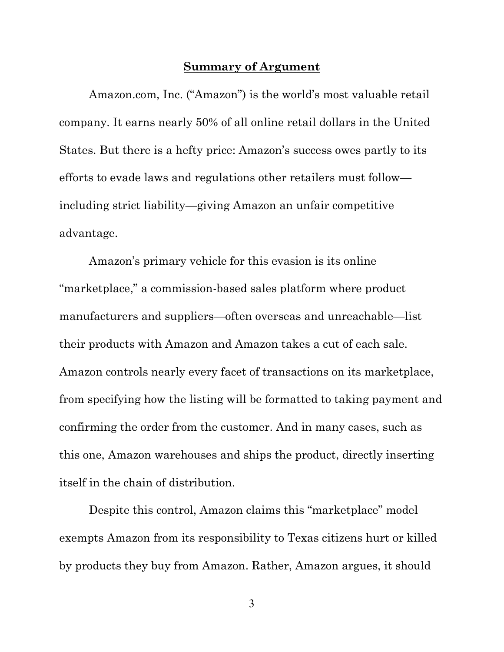#### **Summary of Argument**

Amazon.com, Inc. ("Amazon") is the world's most valuable retail company. It earns nearly 50% of all online retail dollars in the United States. But there is a hefty price: Amazon's success owes partly to its efforts to evade laws and regulations other retailers must follow including strict liability—giving Amazon an unfair competitive advantage.

Amazon's primary vehicle for this evasion is its online "marketplace," a commission-based sales platform where product manufacturers and suppliers—often overseas and unreachable—list their products with Amazon and Amazon takes a cut of each sale. Amazon controls nearly every facet of transactions on its marketplace, from specifying how the listing will be formatted to taking payment and confirming the order from the customer. And in many cases, such as this one, Amazon warehouses and ships the product, directly inserting itself in the chain of distribution.

Despite this control, Amazon claims this "marketplace" model exempts Amazon from its responsibility to Texas citizens hurt or killed by products they buy from Amazon. Rather, Amazon argues, it should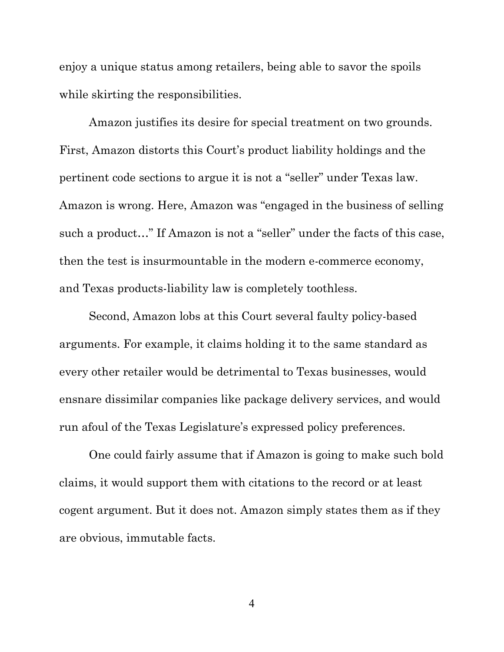enjoy a unique status among retailers, being able to savor the spoils while skirting the responsibilities.

Amazon justifies its desire for special treatment on two grounds. First, Amazon distorts this Court's product liability holdings and the pertinent code sections to argue it is not a "seller" under Texas law. Amazon is wrong. Here, Amazon was "engaged in the business of selling such a product…" If Amazon is not a "seller" under the facts of this case, then the test is insurmountable in the modern e-commerce economy, and Texas products-liability law is completely toothless.

Second, Amazon lobs at this Court several faulty policy-based arguments. For example, it claims holding it to the same standard as every other retailer would be detrimental to Texas businesses, would ensnare dissimilar companies like package delivery services, and would run afoul of the Texas Legislature's expressed policy preferences.

One could fairly assume that if Amazon is going to make such bold claims, it would support them with citations to the record or at least cogent argument. But it does not. Amazon simply states them as if they are obvious, immutable facts.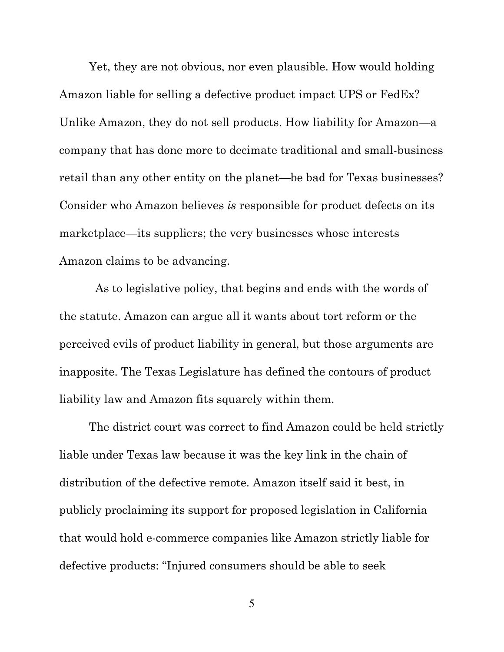Yet, they are not obvious, nor even plausible. How would holding Amazon liable for selling a defective product impact UPS or FedEx? Unlike Amazon, they do not sell products. How liability for Amazon—a company that has done more to decimate traditional and small-business retail than any other entity on the planet—be bad for Texas businesses? Consider who Amazon believes *is* responsible for product defects on its marketplace—its suppliers; the very businesses whose interests Amazon claims to be advancing.

As to legislative policy, that begins and ends with the words of the statute. Amazon can argue all it wants about tort reform or the perceived evils of product liability in general, but those arguments are inapposite. The Texas Legislature has defined the contours of product liability law and Amazon fits squarely within them.

The district court was correct to find Amazon could be held strictly liable under Texas law because it was the key link in the chain of distribution of the defective remote. Amazon itself said it best, in publicly proclaiming its support for proposed legislation in California that would hold e-commerce companies like Amazon strictly liable for defective products: "Injured consumers should be able to seek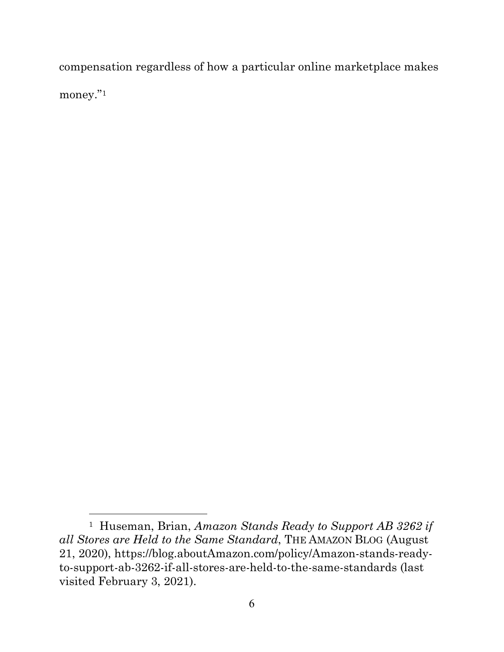compensation regardless of how a particular online marketplace makes money."[1](#page-15-0)

<span id="page-15-0"></span><sup>1</sup> Huseman, Brian, *Amazon Stands Ready to Support AB 3262 if all Stores are Held to the Same Standard*, THE AMAZON BLOG (August 21, 2020), https://blog.aboutAmazon.com/policy/Amazon-stands-readyto-support-ab-3262-if-all-stores-are-held-to-the-same-standards (last visited February 3, 2021).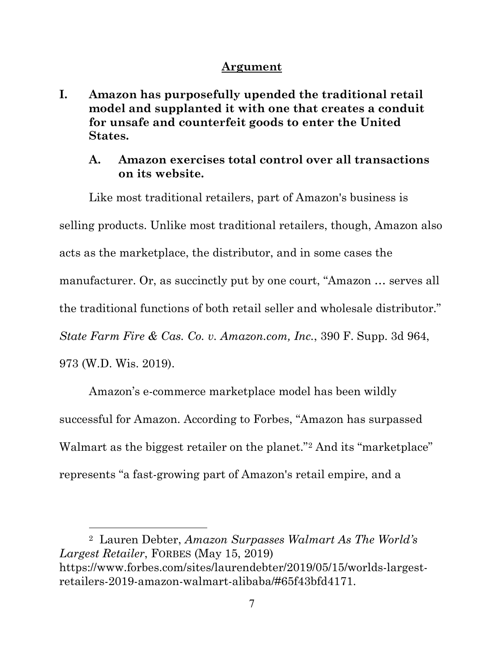### **Argument**

**I. Amazon has purposefully upended the traditional retail model and supplanted it with one that creates a conduit for unsafe and counterfeit goods to enter the United States.**

## **A. Amazon exercises total control over all transactions on its website.**

Like most traditional retailers, part of Amazon's business is selling products. Unlike most traditional retailers, though, Amazon also acts as the marketplace, the distributor, and in some cases the manufacturer. Or, as succinctly put by one court, "Amazon … serves all the traditional functions of both retail seller and wholesale distributor." *State Farm Fire & Cas. Co. v. Amazon.com, Inc.*, 390 F. Supp. 3d 964, 973 (W.D. Wis. 2019).

Amazon's e-commerce marketplace model has been wildly successful for Amazon. According to Forbes, "Amazon has surpassed Walmart as the biggest retailer on the planet."<sup>[2](#page-16-0)</sup> And its "marketplace" represents "a fast-growing part of Amazon's retail empire, and a

<span id="page-16-0"></span>2 Lauren Debter, *Amazon Surpasses Walmart As The World's Largest Retailer*, FORBES (May 15, 2019) https://www.forbes.com/sites/laurendebter/2019/05/15/worlds-largestretailers-2019-amazon-walmart-alibaba/#65f43bfd4171.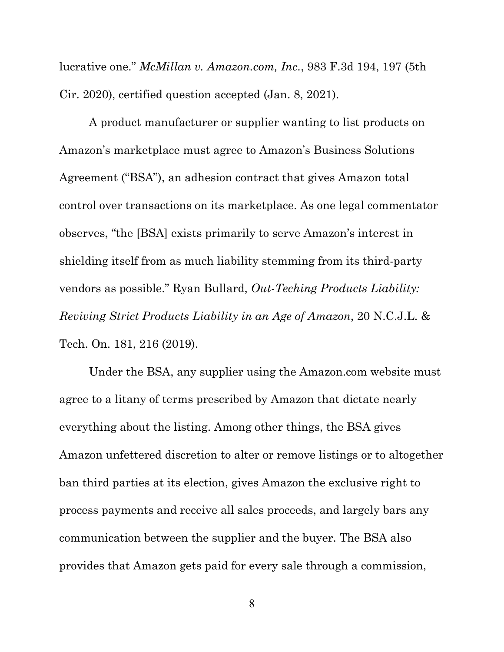lucrative one." *McMillan v. Amazon.com, Inc.*, 983 F.3d 194, 197 (5th Cir. 2020), certified question accepted (Jan. 8, 2021).

A product manufacturer or supplier wanting to list products on Amazon's marketplace must agree to Amazon's Business Solutions Agreement ("BSA"), an adhesion contract that gives Amazon total control over transactions on its marketplace. As one legal commentator observes, "the [BSA] exists primarily to serve Amazon's interest in shielding itself from as much liability stemming from its third-party vendors as possible." Ryan Bullard, *Out-Teching Products Liability: Reviving Strict Products Liability in an Age of Amazon*, 20 N.C.J.L. & Tech. On. 181, 216 (2019).

Under the BSA, any supplier using the Amazon.com website must agree to a litany of terms prescribed by Amazon that dictate nearly everything about the listing. Among other things, the BSA gives Amazon unfettered discretion to alter or remove listings or to altogether ban third parties at its election, gives Amazon the exclusive right to process payments and receive all sales proceeds, and largely bars any communication between the supplier and the buyer. The BSA also provides that Amazon gets paid for every sale through a commission,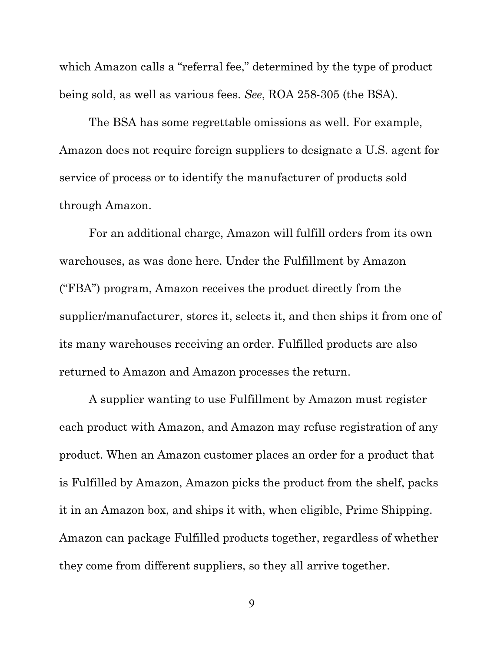which Amazon calls a "referral fee," determined by the type of product being sold, as well as various fees. *See*, ROA 258-305 (the BSA).

The BSA has some regrettable omissions as well. For example, Amazon does not require foreign suppliers to designate a U.S. agent for service of process or to identify the manufacturer of products sold through Amazon.

For an additional charge, Amazon will fulfill orders from its own warehouses, as was done here. Under the Fulfillment by Amazon ("FBA") program, Amazon receives the product directly from the supplier/manufacturer, stores it, selects it, and then ships it from one of its many warehouses receiving an order. Fulfilled products are also returned to Amazon and Amazon processes the return.

A supplier wanting to use Fulfillment by Amazon must register each product with Amazon, and Amazon may refuse registration of any product. When an Amazon customer places an order for a product that is Fulfilled by Amazon, Amazon picks the product from the shelf, packs it in an Amazon box, and ships it with, when eligible, Prime Shipping. Amazon can package Fulfilled products together, regardless of whether they come from different suppliers, so they all arrive together.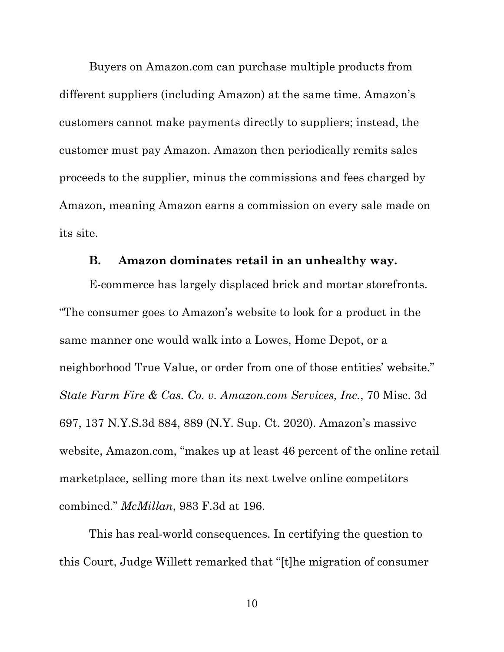Buyers on Amazon.com can purchase multiple products from different suppliers (including Amazon) at the same time. Amazon's customers cannot make payments directly to suppliers; instead, the customer must pay Amazon. Amazon then periodically remits sales proceeds to the supplier, minus the commissions and fees charged by Amazon, meaning Amazon earns a commission on every sale made on its site.

#### **B. Amazon dominates retail in an unhealthy way.**

E-commerce has largely displaced brick and mortar storefronts. "The consumer goes to Amazon's website to look for a product in the same manner one would walk into a Lowes, Home Depot, or a neighborhood True Value, or order from one of those entities' website." *State Farm Fire & Cas. Co. v. Amazon.com Services, Inc.*, 70 Misc. 3d 697, 137 N.Y.S.3d 884, 889 (N.Y. Sup. Ct. 2020). Amazon's massive website, Amazon.com, "makes up at least 46 percent of the online retail marketplace, selling more than its next twelve online competitors combined." *McMillan*, 983 F.3d at 196.

This has real-world consequences. In certifying the question to this Court, Judge Willett remarked that "[t]he migration of consumer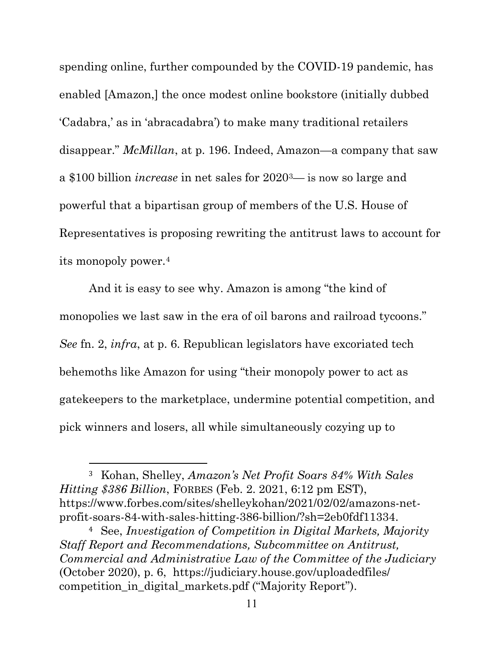spending online, further compounded by the COVID-19 pandemic, has enabled [Amazon,] the once modest online bookstore (initially dubbed 'Cadabra,' as in 'abracadabra') to make many traditional retailers disappear." *McMillan*, at p. 196. Indeed, Amazon—a company that saw a \$100 billion *increase* in net sales for 2020[3](#page-20-0)— is now so large and powerful that a bipartisan group of members of the U.S. House of Representatives is proposing rewriting the antitrust laws to account for its monopoly power.[4](#page-20-1)

And it is easy to see why. Amazon is among "the kind of monopolies we last saw in the era of oil barons and railroad tycoons." *See* fn. 2, *infra*, at p. 6. Republican legislators have excoriated tech behemoths like Amazon for using "their monopoly power to act as gatekeepers to the marketplace, undermine potential competition, and pick winners and losers, all while simultaneously cozying up to

<span id="page-20-0"></span><sup>3</sup> Kohan, Shelley, *Amazon's Net Profit Soars 84% With Sales Hitting \$386 Billion*, FORBES (Feb. 2. 2021, 6:12 pm EST), https://www.forbes.com/sites/shelleykohan/2021/02/02/amazons-netprofit-soars-84-with-sales-hitting-386-billion/?sh=2eb0fdf11334.

<span id="page-20-1"></span><sup>4</sup> See, *Investigation of Competition in Digital Markets, Majority Staff Report and Recommendations, Subcommittee on Antitrust, Commercial and Administrative Law of the Committee of the Judiciary* (October 2020), p. 6, https://judiciary.house.gov/uploadedfiles/ competition in digital markets.pdf ("Majority Report").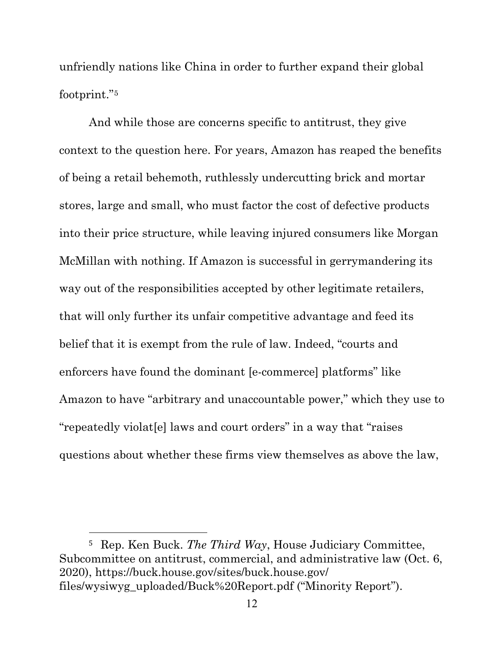unfriendly nations like China in order to further expand their global footprint."[5](#page-21-0)

And while those are concerns specific to antitrust, they give context to the question here. For years, Amazon has reaped the benefits of being a retail behemoth, ruthlessly undercutting brick and mortar stores, large and small, who must factor the cost of defective products into their price structure, while leaving injured consumers like Morgan McMillan with nothing. If Amazon is successful in gerrymandering its way out of the responsibilities accepted by other legitimate retailers, that will only further its unfair competitive advantage and feed its belief that it is exempt from the rule of law. Indeed, "courts and enforcers have found the dominant [e-commerce] platforms" like Amazon to have "arbitrary and unaccountable power," which they use to "repeatedly violat[e] laws and court orders" in a way that "raises questions about whether these firms view themselves as above the law,

<span id="page-21-0"></span><sup>5</sup> Rep. Ken Buck. *The Third Way*, House Judiciary Committee, Subcommittee on antitrust, commercial, and administrative law (Oct. 6, 2020), https://buck.house.gov/sites/buck.house.gov/ files/wysiwyg\_uploaded/Buck%20Report.pdf ("Minority Report").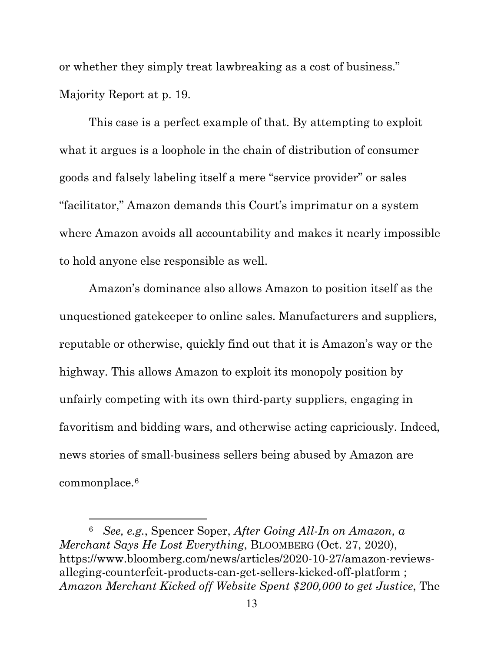or whether they simply treat lawbreaking as a cost of business." Majority Report at p. 19.

This case is a perfect example of that. By attempting to exploit what it argues is a loophole in the chain of distribution of consumer goods and falsely labeling itself a mere "service provider" or sales "facilitator," Amazon demands this Court's imprimatur on a system where Amazon avoids all accountability and makes it nearly impossible to hold anyone else responsible as well.

Amazon's dominance also allows Amazon to position itself as the unquestioned gatekeeper to online sales. Manufacturers and suppliers, reputable or otherwise, quickly find out that it is Amazon's way or the highway. This allows Amazon to exploit its monopoly position by unfairly competing with its own third-party suppliers, engaging in favoritism and bidding wars, and otherwise acting capriciously. Indeed, news stories of small-business sellers being abused by Amazon are commonplace.[6](#page-22-0)

<span id="page-22-0"></span><sup>6</sup> *See, e.g.*, Spencer Soper, *After Going All-In on Amazon, a Merchant Says He Lost Everything*, BLOOMBERG (Oct. 27, 2020), https://www.bloomberg.com/news/articles/2020-10-27/amazon-reviewsalleging-counterfeit-products-can-get-sellers-kicked-off-platform ; *Amazon Merchant Kicked off Website Spent \$200,000 to get Justice*, The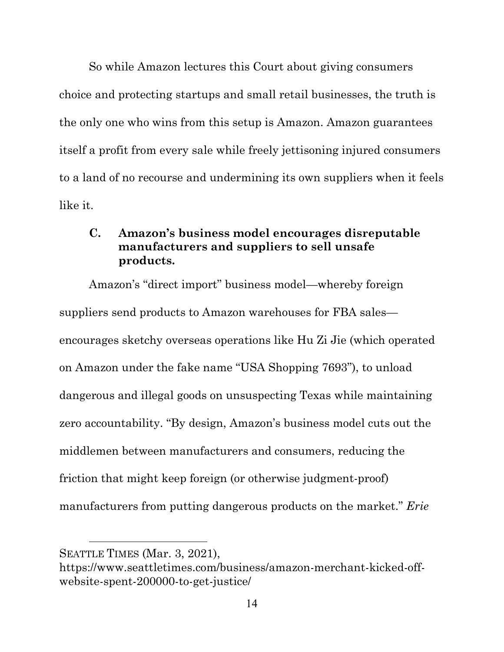So while Amazon lectures this Court about giving consumers choice and protecting startups and small retail businesses, the truth is the only one who wins from this setup is Amazon. Amazon guarantees itself a profit from every sale while freely jettisoning injured consumers to a land of no recourse and undermining its own suppliers when it feels like it.

## **C. Amazon's business model encourages disreputable manufacturers and suppliers to sell unsafe products.**

Amazon's "direct import" business model—whereby foreign suppliers send products to Amazon warehouses for FBA sales encourages sketchy overseas operations like Hu Zi Jie (which operated on Amazon under the fake name "USA Shopping 7693"), to unload dangerous and illegal goods on unsuspecting Texas while maintaining zero accountability. "By design, Amazon's business model cuts out the middlemen between manufacturers and consumers, reducing the friction that might keep foreign (or otherwise judgment-proof) manufacturers from putting dangerous products on the market." *Erie* 

SEATTLE TIMES (Mar. 3, 2021),

https://www.seattletimes.com/business/amazon-merchant-kicked-offwebsite-spent-200000-to-get-justice/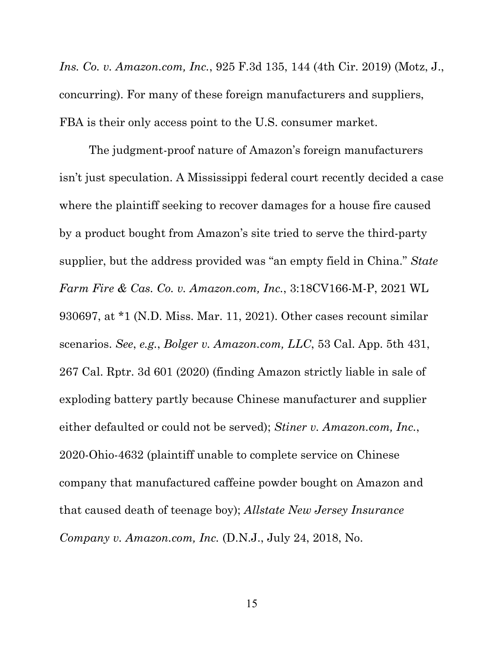*Ins. Co. v. Amazon.com, Inc.*, 925 F.3d 135, 144 (4th Cir. 2019) (Motz, J., concurring). For many of these foreign manufacturers and suppliers, FBA is their only access point to the U.S. consumer market.

The judgment-proof nature of Amazon's foreign manufacturers isn't just speculation. A Mississippi federal court recently decided a case where the plaintiff seeking to recover damages for a house fire caused by a product bought from Amazon's site tried to serve the third-party supplier, but the address provided was "an empty field in China." *State Farm Fire & Cas. Co. v. Amazon.com, Inc.*, 3:18CV166-M-P, 2021 WL 930697, at \*1 (N.D. Miss. Mar. 11, 2021). Other cases recount similar scenarios. *See*, *e.g.*, *Bolger v. Amazon.com, LLC*, 53 Cal. App. 5th 431, 267 Cal. Rptr. 3d 601 (2020) (finding Amazon strictly liable in sale of exploding battery partly because Chinese manufacturer and supplier either defaulted or could not be served); *Stiner v. Amazon.com, Inc.*, 2020-Ohio-4632 (plaintiff unable to complete service on Chinese company that manufactured caffeine powder bought on Amazon and that caused death of teenage boy); *Allstate New Jersey Insurance Company v. Amazon.com, Inc.* (D.N.J., July 24, 2018, No.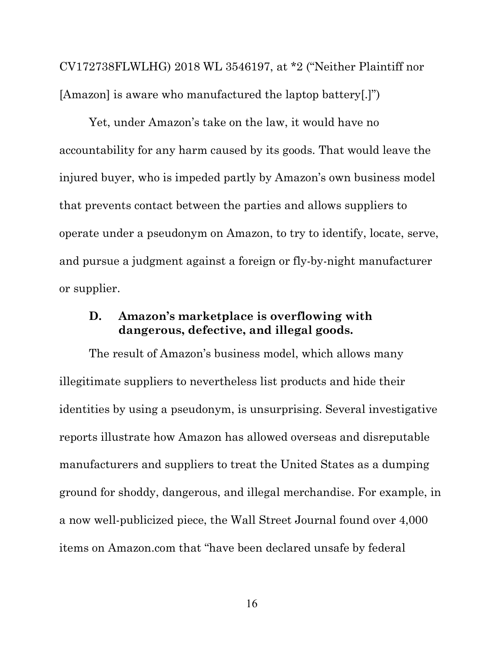CV172738FLWLHG) 2018 WL 3546197, at \*2 ("Neither Plaintiff nor [Amazon] is aware who manufactured the laptop battery[.]")

Yet, under Amazon's take on the law, it would have no accountability for any harm caused by its goods. That would leave the injured buyer, who is impeded partly by Amazon's own business model that prevents contact between the parties and allows suppliers to operate under a pseudonym on Amazon, to try to identify, locate, serve, and pursue a judgment against a foreign or fly-by-night manufacturer or supplier.

## **D. Amazon's marketplace is overflowing with dangerous, defective, and illegal goods.**

The result of Amazon's business model, which allows many illegitimate suppliers to nevertheless list products and hide their identities by using a pseudonym, is unsurprising. Several investigative reports illustrate how Amazon has allowed overseas and disreputable manufacturers and suppliers to treat the United States as a dumping ground for shoddy, dangerous, and illegal merchandise. For example, in a now well-publicized piece, the Wall Street Journal found over 4,000 items on Amazon.com that "have been declared unsafe by federal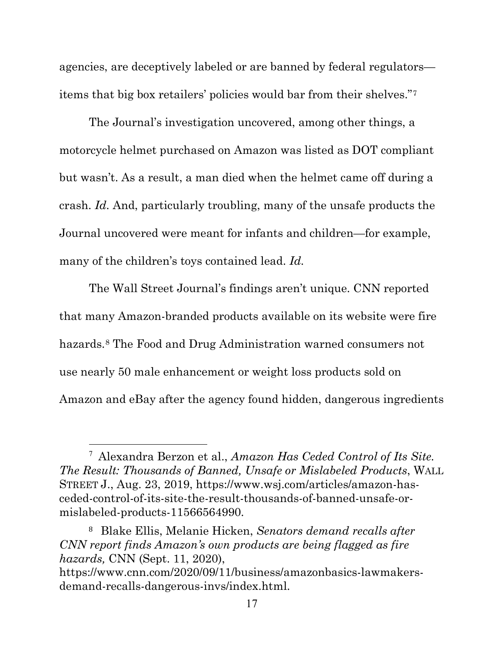agencies, are deceptively labeled or are banned by federal regulators items that big box retailers' policies would bar from their shelves."[7](#page-26-0)

The Journal's investigation uncovered, among other things, a motorcycle helmet purchased on Amazon was listed as DOT compliant but wasn't. As a result, a man died when the helmet came off during a crash. *Id.* And, particularly troubling, many of the unsafe products the Journal uncovered were meant for infants and children—for example, many of the children's toys contained lead. *Id.*

The Wall Street Journal's findings aren't unique. CNN reported that many Amazon-branded products available on its website were fire hazards.<sup>[8](#page-26-1)</sup> The Food and Drug Administration warned consumers not use nearly 50 male enhancement or weight loss products sold on Amazon and eBay after the agency found hidden, dangerous ingredients

<span id="page-26-0"></span><sup>7</sup> Alexandra Berzon et al., *Amazon Has Ceded Control of Its Site. The Result: Thousands of Banned, Unsafe or Mislabeled Products*, WALL STREET J., Aug. 23, 2019, https://www.wsj.com/articles/amazon-hasceded-control-of-its-site-the-result-thousands-of-banned-unsafe-ormislabeled-products-11566564990.

<span id="page-26-1"></span><sup>8</sup> Blake Ellis, Melanie Hicken, *Senators demand recalls after CNN report finds Amazon's own products are being flagged as fire hazards,* CNN (Sept. 11, 2020),

https://www.cnn.com/2020/09/11/business/amazonbasics-lawmakersdemand-recalls-dangerous-invs/index.html.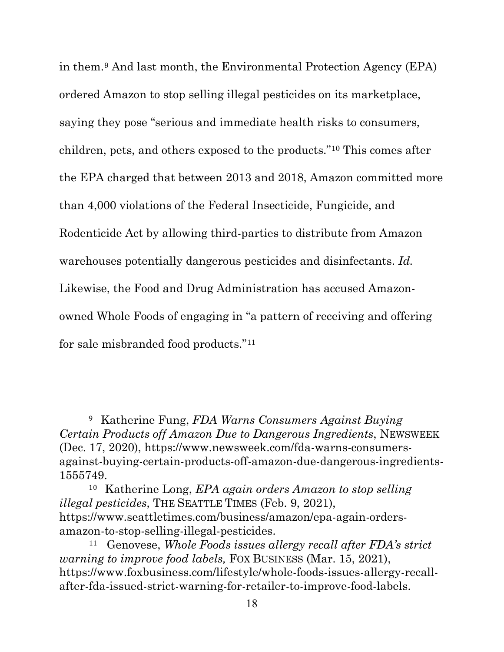in them.[9](#page-27-0) And last month, the Environmental Protection Agency (EPA) ordered Amazon to stop selling illegal pesticides on its marketplace, saying they pose "serious and immediate health risks to consumers, children, pets, and others exposed to the products."[10](#page-27-1) This comes after the EPA charged that between 2013 and 2018, Amazon committed more than 4,000 violations of the Federal Insecticide, Fungicide, and Rodenticide Act by allowing third-parties to distribute from Amazon warehouses potentially dangerous pesticides and disinfectants. *Id.* Likewise, the Food and Drug Administration has accused Amazonowned Whole Foods of engaging in "a pattern of receiving and offering for sale misbranded food products."[11](#page-27-2)

<span id="page-27-0"></span><sup>9</sup> Katherine Fung, *FDA Warns Consumers Against Buying Certain Products off Amazon Due to Dangerous Ingredients*, NEWSWEEK (Dec. 17, 2020), https://www.newsweek.com/fda-warns-consumersagainst-buying-certain-products-off-amazon-due-dangerous-ingredients-1555749.

<span id="page-27-1"></span><sup>10</sup> Katherine Long, *EPA again orders Amazon to stop selling illegal pesticides*, THE SEATTLE TIMES (Feb. 9, 2021), https://www.seattletimes.com/business/amazon/epa-again-ordersamazon-to-stop-selling-illegal-pesticides.

<span id="page-27-2"></span><sup>11</sup> Genovese, *Whole Foods issues allergy recall after FDA's strict warning to improve food labels,* FOX BUSINESS (Mar. 15, 2021), https://www.foxbusiness.com/lifestyle/whole-foods-issues-allergy-recallafter-fda-issued-strict-warning-for-retailer-to-improve-food-labels.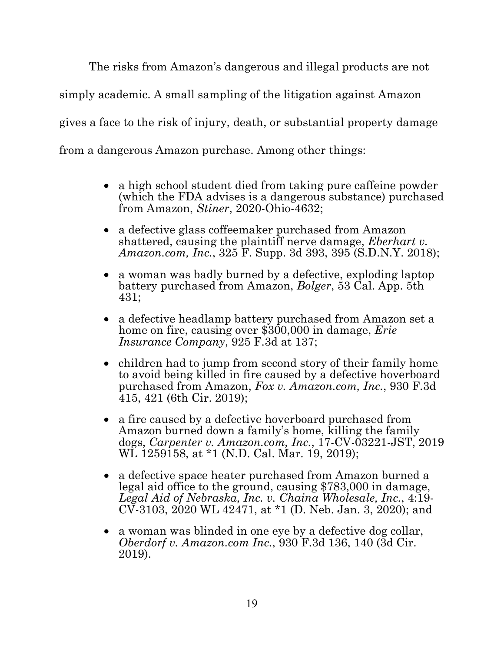The risks from Amazon's dangerous and illegal products are not simply academic. A small sampling of the litigation against Amazon gives a face to the risk of injury, death, or substantial property damage from a dangerous Amazon purchase. Among other things:

- a high school student died from taking pure caffeine powder (which the FDA advises is a dangerous substance) purchased from Amazon, *Stiner*, 2020-Ohio-4632;
- a defective glass coffeemaker purchased from Amazon shattered, causing the plaintiff nerve damage, *Eberhart v. Amazon.com, Inc.*, 325 F. Supp. 3d 393, 395 (S.D.N.Y. 2018);
- a woman was badly burned by a defective, exploding laptop battery purchased from Amazon, *Bolger*, 53 Cal. App. 5th 431;
- a defective headlamp battery purchased from Amazon set a home on fire, causing over \$300,000 in damage, *Erie Insurance Company*, 925 F.3d at 137;
- children had to jump from second story of their family home to avoid being killed in fire caused by a defective hoverboard purchased from Amazon, *Fox v. Amazon.com, Inc.*, 930 F.3d 415, 421 (6th Cir. 2019);
- a fire caused by a defective hoverboard purchased from Amazon burned down a family's home, killing the family dogs, *Carpenter v. Amazon.com, Inc.*, 17-CV-03221-JST, 2019 WL 1259158, at \*1 (N.D. Cal. Mar. 19, 2019);
- a defective space heater purchased from Amazon burned a legal aid office to the ground, causing \$783,000 in damage, Legal Aid of Nebraska, Inc. v. Chaina Wholesale, Inc., 4:19-*Legal Aid of Nebraska, Inc. v. Chaina Wholesale, Inc.*, 4:19- CV-3103, 2020 WL 42471, at \*1 (D. Neb. Jan. 3, 2020); and
- a woman was blinded in one eye by a defective dog collar, *Oberdorf v. Amazon.com Inc.*, 930 F.3d 136, 140 (3d Cir. 2019).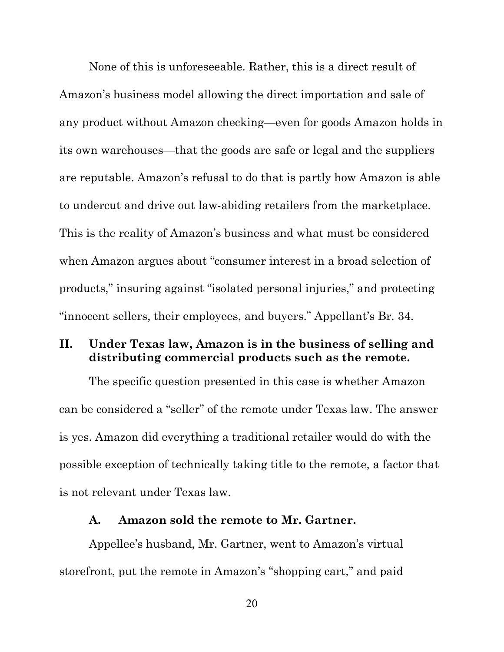None of this is unforeseeable. Rather, this is a direct result of Amazon's business model allowing the direct importation and sale of any product without Amazon checking—even for goods Amazon holds in its own warehouses—that the goods are safe or legal and the suppliers are reputable. Amazon's refusal to do that is partly how Amazon is able to undercut and drive out law-abiding retailers from the marketplace. This is the reality of Amazon's business and what must be considered when Amazon argues about "consumer interest in a broad selection of products," insuring against "isolated personal injuries," and protecting "innocent sellers, their employees, and buyers." Appellant's Br. 34.

## **II. Under Texas law, Amazon is in the business of selling and distributing commercial products such as the remote.**

The specific question presented in this case is whether Amazon can be considered a "seller" of the remote under Texas law. The answer is yes. Amazon did everything a traditional retailer would do with the possible exception of technically taking title to the remote, a factor that is not relevant under Texas law.

#### **A. Amazon sold the remote to Mr. Gartner.**

Appellee's husband, Mr. Gartner, went to Amazon's virtual storefront, put the remote in Amazon's "shopping cart," and paid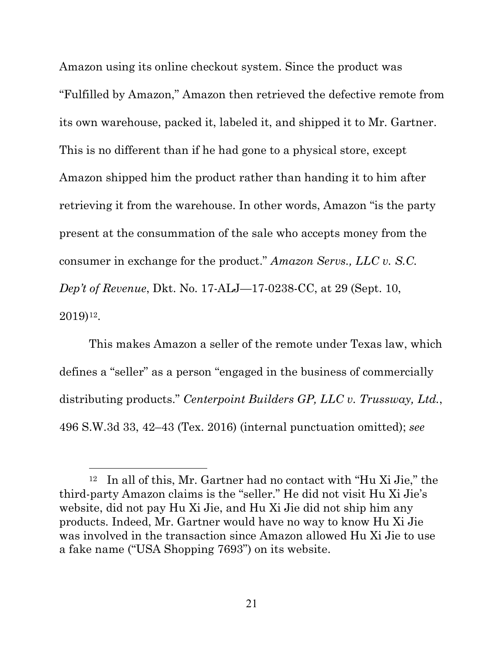Amazon using its online checkout system. Since the product was "Fulfilled by Amazon," Amazon then retrieved the defective remote from its own warehouse, packed it, labeled it, and shipped it to Mr. Gartner. This is no different than if he had gone to a physical store, except Amazon shipped him the product rather than handing it to him after retrieving it from the warehouse. In other words, Amazon "is the party present at the consummation of the sale who accepts money from the consumer in exchange for the product." *Amazon Servs., LLC v. S.C. Dep't of Revenue*, Dkt. No. 17-ALJ—17-0238-CC, at 29 (Sept. 10, 2019)[12](#page-30-0).

This makes Amazon a seller of the remote under Texas law, which defines a "seller" as a person "engaged in the business of commercially distributing products." *Centerpoint Builders GP, LLC v. Trussway, Ltd.*, 496 S.W.3d 33, 42–43 (Tex. 2016) (internal punctuation omitted); *see* 

<span id="page-30-0"></span><sup>12</sup> In all of this, Mr. Gartner had no contact with "Hu Xi Jie," the third-party Amazon claims is the "seller." He did not visit Hu Xi Jie's website, did not pay Hu Xi Jie, and Hu Xi Jie did not ship him any products. Indeed, Mr. Gartner would have no way to know Hu Xi Jie was involved in the transaction since Amazon allowed Hu Xi Jie to use a fake name ("USA Shopping 7693") on its website.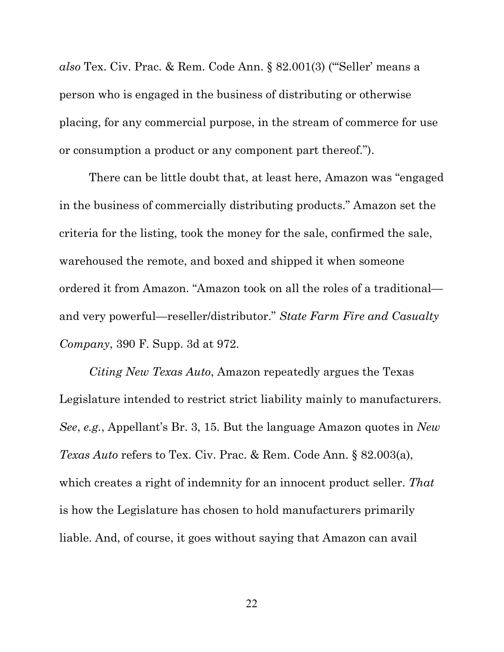*also* Tex. Civ. Prac. & Rem. Code Ann. § 82.001(3) ("'Seller' means a person who is engaged in the business of distributing or otherwise placing, for any commercial purpose, in the stream of commerce for use or consumption a product or any component part thereof.").

There can be little doubt that, at least here, Amazon was "engaged in the business of commercially distributing products." Amazon set the criteria for the listing, took the money for the sale, confirmed the sale, warehoused the remote, and boxed and shipped it when someone ordered it from Amazon. "Amazon took on all the roles of a traditional and very powerful—reseller/distributor." *State Farm Fire and Casualty Company*, 390 F. Supp. 3d at 972.

*Citing New Texas Auto*, Amazon repeatedly argues the Texas Legislature intended to restrict strict liability mainly to manufacturers. *See*, *e.g.*, Appellant's Br. 3, 15. But the language Amazon quotes in *New Texas Auto* refers to Tex. Civ. Prac. & Rem. Code Ann. § 82.003(a), which creates a right of indemnity for an innocent product seller. *That* is how the Legislature has chosen to hold manufacturers primarily liable. And, of course, it goes without saying that Amazon can avail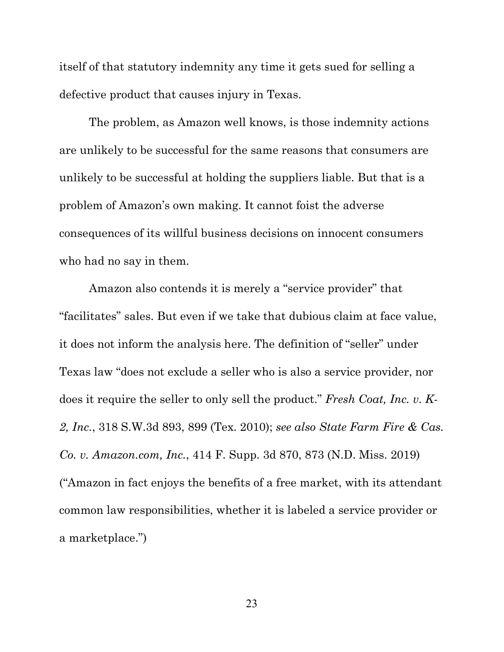itself of that statutory indemnity any time it gets sued for selling a defective product that causes injury in Texas.

The problem, as Amazon well knows, is those indemnity actions are unlikely to be successful for the same reasons that consumers are unlikely to be successful at holding the suppliers liable. But that is a problem of Amazon's own making. It cannot foist the adverse consequences of its willful business decisions on innocent consumers who had no say in them.

Amazon also contends it is merely a "service provider" that "facilitates" sales. But even if we take that dubious claim at face value, it does not inform the analysis here. The definition of "seller" under Texas law "does not exclude a seller who is also a service provider, nor does it require the seller to only sell the product." *Fresh Coat, Inc. v. K-2, Inc.*, 318 S.W.3d 893, 899 (Tex. 2010); *see also State Farm Fire & Cas. Co. v. Amazon.com, Inc.*, 414 F. Supp. 3d 870, 873 (N.D. Miss. 2019) ("Amazon in fact enjoys the benefits of a free market, with its attendant common law responsibilities, whether it is labeled a service provider or a marketplace.")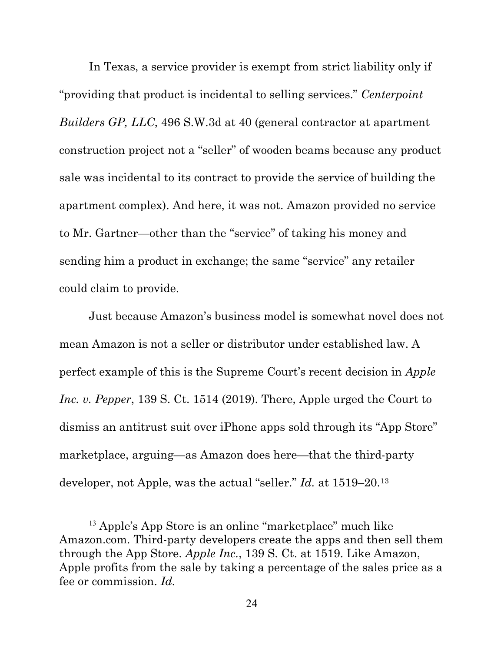In Texas, a service provider is exempt from strict liability only if "providing that product is incidental to selling services." *Centerpoint Builders GP, LLC*, 496 S.W.3d at 40 (general contractor at apartment construction project not a "seller" of wooden beams because any product sale was incidental to its contract to provide the service of building the apartment complex). And here, it was not. Amazon provided no service to Mr. Gartner—other than the "service" of taking his money and sending him a product in exchange; the same "service" any retailer could claim to provide.

Just because Amazon's business model is somewhat novel does not mean Amazon is not a seller or distributor under established law. A perfect example of this is the Supreme Court's recent decision in *Apple Inc. v. Pepper*, 139 S. Ct. 1514 (2019). There, Apple urged the Court to dismiss an antitrust suit over iPhone apps sold through its "App Store" marketplace, arguing—as Amazon does here—that the third-party developer, not Apple, was the actual "seller." *Id.* at 1519–20[.13](#page-33-0)

<span id="page-33-0"></span><sup>13</sup> Apple's App Store is an online "marketplace" much like Amazon.com. Third-party developers create the apps and then sell them through the App Store. *Apple Inc.*, 139 S. Ct. at 1519. Like Amazon, Apple profits from the sale by taking a percentage of the sales price as a fee or commission. *Id.*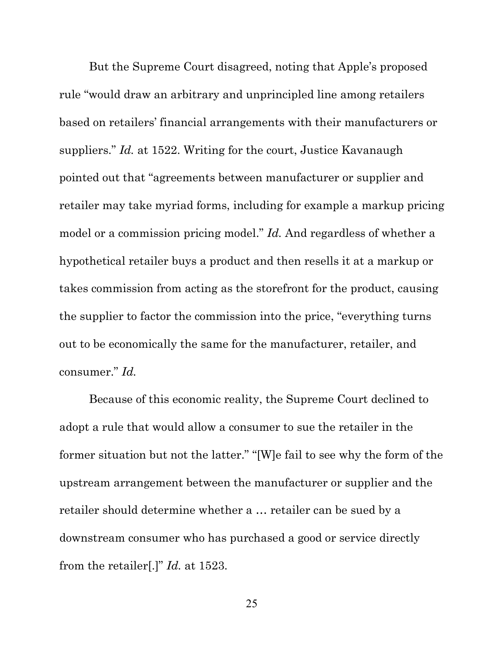But the Supreme Court disagreed, noting that Apple's proposed rule "would draw an arbitrary and unprincipled line among retailers based on retailers' financial arrangements with their manufacturers or suppliers." *Id.* at 1522. Writing for the court, Justice Kavanaugh pointed out that "agreements between manufacturer or supplier and retailer may take myriad forms, including for example a markup pricing model or a commission pricing model." *Id.* And regardless of whether a hypothetical retailer buys a product and then resells it at a markup or takes commission from acting as the storefront for the product, causing the supplier to factor the commission into the price, "everything turns out to be economically the same for the manufacturer, retailer, and consumer." *Id.*

Because of this economic reality, the Supreme Court declined to adopt a rule that would allow a consumer to sue the retailer in the former situation but not the latter." "[W]e fail to see why the form of the upstream arrangement between the manufacturer or supplier and the retailer should determine whether a … retailer can be sued by a downstream consumer who has purchased a good or service directly from the retailer[.]" *Id.* at 1523.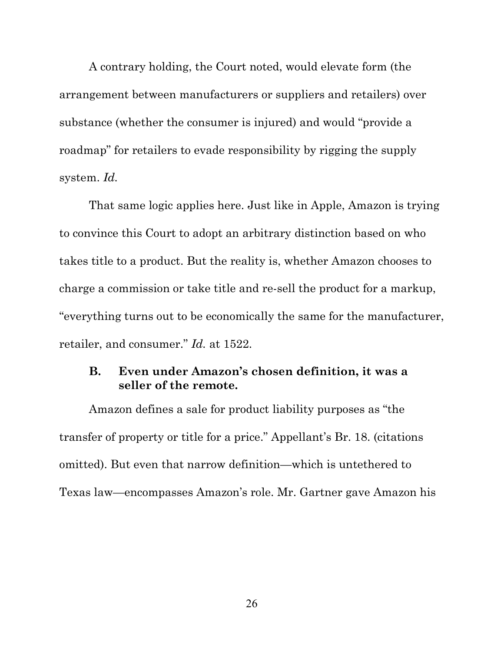A contrary holding, the Court noted, would elevate form (the arrangement between manufacturers or suppliers and retailers) over substance (whether the consumer is injured) and would "provide a roadmap" for retailers to evade responsibility by rigging the supply system. *Id.*

That same logic applies here. Just like in Apple, Amazon is trying to convince this Court to adopt an arbitrary distinction based on who takes title to a product. But the reality is, whether Amazon chooses to charge a commission or take title and re-sell the product for a markup, "everything turns out to be economically the same for the manufacturer, retailer, and consumer." *Id.* at 1522.

### **B. Even under Amazon's chosen definition, it was a seller of the remote.**

Amazon defines a sale for product liability purposes as "the transfer of property or title for a price." Appellant's Br. 18. (citations omitted). But even that narrow definition—which is untethered to Texas law—encompasses Amazon's role. Mr. Gartner gave Amazon his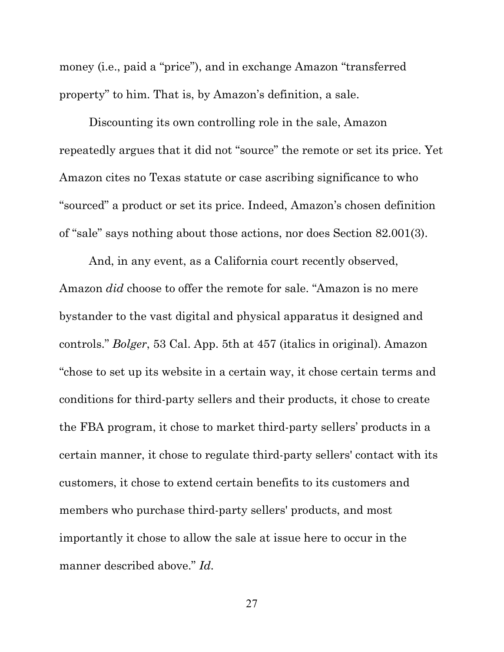money (i.e., paid a "price"), and in exchange Amazon "transferred property" to him. That is, by Amazon's definition, a sale.

Discounting its own controlling role in the sale, Amazon repeatedly argues that it did not "source" the remote or set its price. Yet Amazon cites no Texas statute or case ascribing significance to who "sourced" a product or set its price. Indeed, Amazon's chosen definition of "sale" says nothing about those actions, nor does Section 82.001(3).

And, in any event, as a California court recently observed, Amazon *did* choose to offer the remote for sale. "Amazon is no mere bystander to the vast digital and physical apparatus it designed and controls." *Bolger*, 53 Cal. App. 5th at 457 (italics in original). Amazon "chose to set up its website in a certain way, it chose certain terms and conditions for third-party sellers and their products, it chose to create the FBA program, it chose to market third-party sellers' products in a certain manner, it chose to regulate third-party sellers' contact with its customers, it chose to extend certain benefits to its customers and members who purchase third-party sellers' products, and most importantly it chose to allow the sale at issue here to occur in the manner described above." *Id.*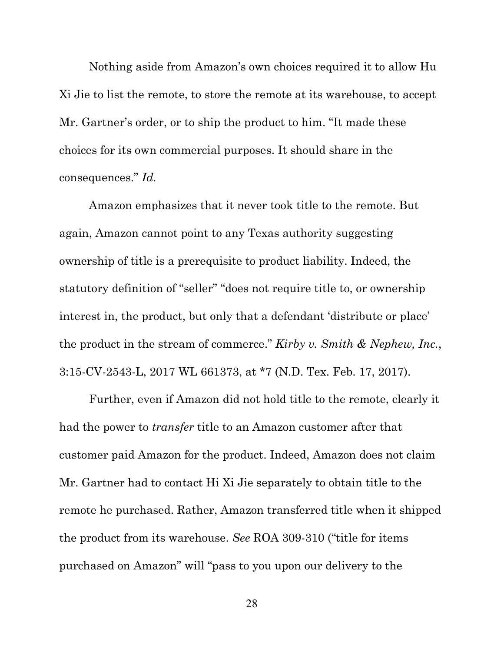Nothing aside from Amazon's own choices required it to allow Hu Xi Jie to list the remote, to store the remote at its warehouse, to accept Mr. Gartner's order, or to ship the product to him. "It made these choices for its own commercial purposes. It should share in the consequences." *Id.*

Amazon emphasizes that it never took title to the remote. But again, Amazon cannot point to any Texas authority suggesting ownership of title is a prerequisite to product liability. Indeed, the statutory definition of "seller" "does not require title to, or ownership interest in, the product, but only that a defendant 'distribute or place' the product in the stream of commerce." *Kirby v. Smith & Nephew, Inc.*, 3:15-CV-2543-L, 2017 WL 661373, at \*7 (N.D. Tex. Feb. 17, 2017).

Further, even if Amazon did not hold title to the remote, clearly it had the power to *transfer* title to an Amazon customer after that customer paid Amazon for the product. Indeed, Amazon does not claim Mr. Gartner had to contact Hi Xi Jie separately to obtain title to the remote he purchased. Rather, Amazon transferred title when it shipped the product from its warehouse. *See* ROA 309-310 ("title for items purchased on Amazon" will "pass to you upon our delivery to the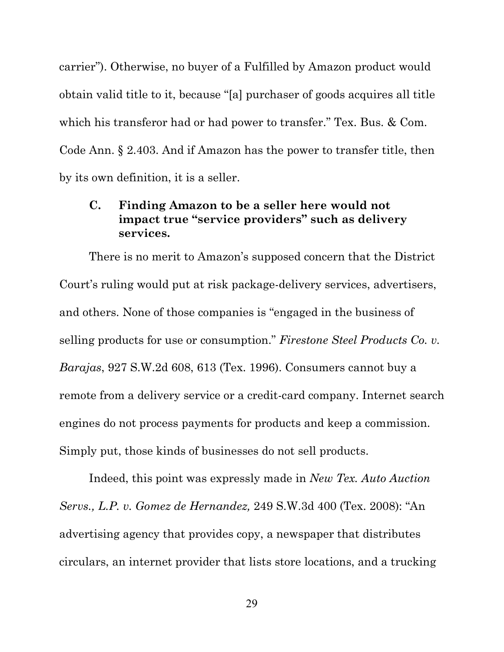carrier"). Otherwise, no buyer of a Fulfilled by Amazon product would obtain valid title to it, because "[a] purchaser of goods acquires all title which his transferor had or had power to transfer." Tex. Bus. & Com. Code Ann. § 2.403. And if Amazon has the power to transfer title, then by its own definition, it is a seller.

## **C. Finding Amazon to be a seller here would not impact true "service providers" such as delivery services.**

There is no merit to Amazon's supposed concern that the District Court's ruling would put at risk package-delivery services, advertisers, and others. None of those companies is "engaged in the business of selling products for use or consumption." *Firestone Steel Products Co. v. Barajas*, 927 S.W.2d 608, 613 (Tex. 1996). Consumers cannot buy a remote from a delivery service or a credit-card company. Internet search engines do not process payments for products and keep a commission. Simply put, those kinds of businesses do not sell products.

Indeed, this point was expressly made in *New Tex. Auto Auction Servs., L.P. v. Gomez de Hernandez,* 249 S.W.3d 400 (Tex. 2008): "An advertising agency that provides copy, a newspaper that distributes circulars, an internet provider that lists store locations, and a trucking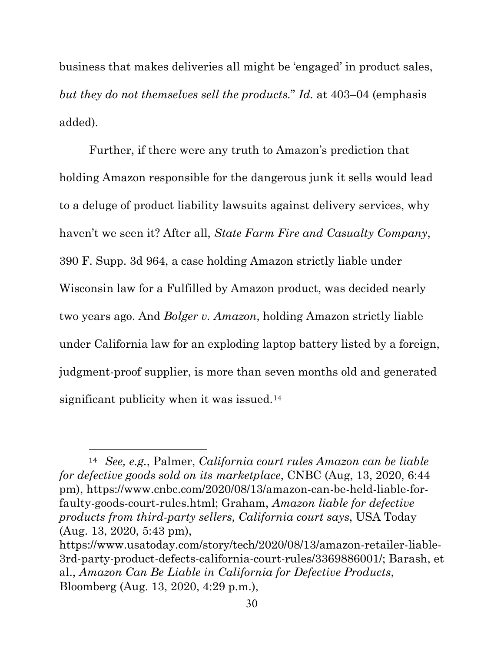business that makes deliveries all might be 'engaged' in product sales, *but they do not themselves sell the products.*" *Id.* at 403–04 (emphasis added).

Further, if there were any truth to Amazon's prediction that holding Amazon responsible for the dangerous junk it sells would lead to a deluge of product liability lawsuits against delivery services, why haven't we seen it? After all, *State Farm Fire and Casualty Company*, 390 F. Supp. 3d 964, a case holding Amazon strictly liable under Wisconsin law for a Fulfilled by Amazon product, was decided nearly two years ago. And *Bolger v. Amazon*, holding Amazon strictly liable under California law for an exploding laptop battery listed by a foreign, judgment-proof supplier, is more than seven months old and generated significant publicity when it was issued.<sup>[14](#page-39-0)</sup>

<span id="page-39-0"></span><sup>14</sup> *See, e.g.*, Palmer, *California court rules Amazon can be liable for defective goods sold on its marketplace*, CNBC (Aug, 13, 2020, 6:44 pm), https://www.cnbc.com/2020/08/13/amazon-can-be-held-liable-forfaulty-goods-court-rules.html; Graham, *Amazon liable for defective products from third-party sellers, California court says*, USA Today (Aug. 13, 2020, 5:43 pm),

https://www.usatoday.com/story/tech/2020/08/13/amazon-retailer-liable-3rd-party-product-defects-california-court-rules/3369886001/; Barash, et al., *Amazon Can Be Liable in California for Defective Products*, Bloomberg (Aug. 13, 2020, 4:29 p.m.),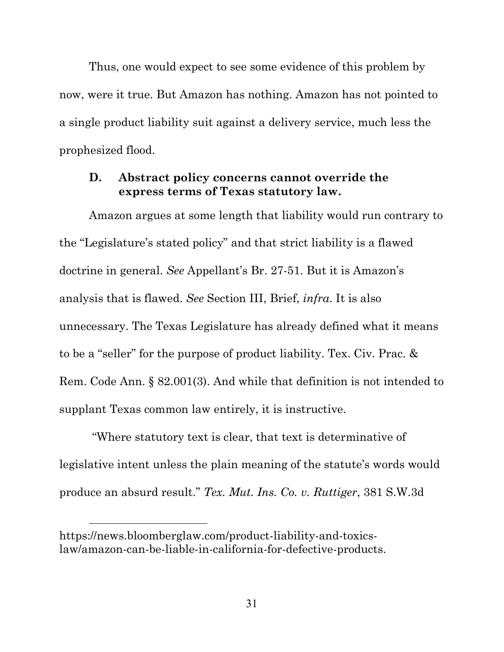Thus, one would expect to see some evidence of this problem by now, were it true. But Amazon has nothing. Amazon has not pointed to a single product liability suit against a delivery service, much less the prophesized flood.

#### **D. Abstract policy concerns cannot override the express terms of Texas statutory law.**

Amazon argues at some length that liability would run contrary to the "Legislature's stated policy" and that strict liability is a flawed doctrine in general. *See* Appellant's Br. 27-51. But it is Amazon's analysis that is flawed. *See* Section III, Brief, *infra*. It is also unnecessary. The Texas Legislature has already defined what it means to be a "seller" for the purpose of product liability. Tex. Civ. Prac. & Rem. Code Ann. § 82.001(3). And while that definition is not intended to supplant Texas common law entirely, it is instructive.

"Where statutory text is clear, that text is determinative of legislative intent unless the plain meaning of the statute's words would produce an absurd result." *Tex. Mut. Ins. Co. v. Ruttiger*, 381 S.W.3d

https://news.bloomberglaw.com/product-liability-and-toxicslaw/amazon-can-be-liable-in-california-for-defective-products.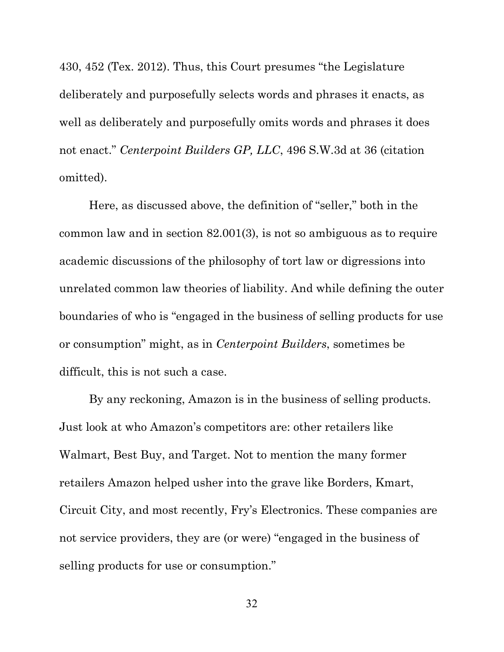430, 452 (Tex. 2012). Thus, this Court presumes "the Legislature deliberately and purposefully selects words and phrases it enacts, as well as deliberately and purposefully omits words and phrases it does not enact." *Centerpoint Builders GP, LLC*, 496 S.W.3d at 36 (citation omitted).

Here, as discussed above, the definition of "seller," both in the common law and in section 82.001(3), is not so ambiguous as to require academic discussions of the philosophy of tort law or digressions into unrelated common law theories of liability. And while defining the outer boundaries of who is "engaged in the business of selling products for use or consumption" might, as in *Centerpoint Builders*, sometimes be difficult, this is not such a case.

By any reckoning, Amazon is in the business of selling products. Just look at who Amazon's competitors are: other retailers like Walmart, Best Buy, and Target. Not to mention the many former retailers Amazon helped usher into the grave like Borders, Kmart, Circuit City, and most recently, Fry's Electronics. These companies are not service providers, they are (or were) "engaged in the business of selling products for use or consumption."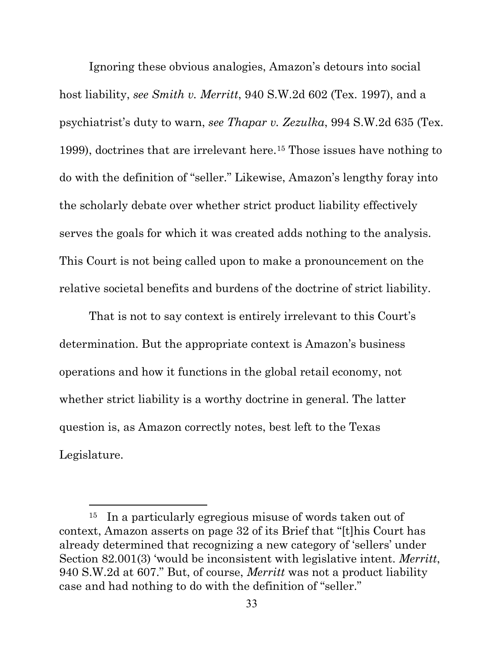Ignoring these obvious analogies, Amazon's detours into social host liability, *see Smith v. Merritt*, 940 S.W.2d 602 (Tex. 1997), and a psychiatrist's duty to warn, *see Thapar v. Zezulka*, 994 S.W.2d 635 (Tex. 1999), doctrines that are irrelevant here[.15](#page-42-0) Those issues have nothing to do with the definition of "seller." Likewise, Amazon's lengthy foray into the scholarly debate over whether strict product liability effectively serves the goals for which it was created adds nothing to the analysis. This Court is not being called upon to make a pronouncement on the relative societal benefits and burdens of the doctrine of strict liability.

That is not to say context is entirely irrelevant to this Court's determination. But the appropriate context is Amazon's business operations and how it functions in the global retail economy, not whether strict liability is a worthy doctrine in general. The latter question is, as Amazon correctly notes, best left to the Texas Legislature.

<span id="page-42-0"></span><sup>15</sup> In a particularly egregious misuse of words taken out of context, Amazon asserts on page 32 of its Brief that "[t]his Court has already determined that recognizing a new category of 'sellers' under Section 82.001(3) 'would be inconsistent with legislative intent. *Merritt*, 940 S.W.2d at 607." But, of course, *Merritt* was not a product liability case and had nothing to do with the definition of "seller."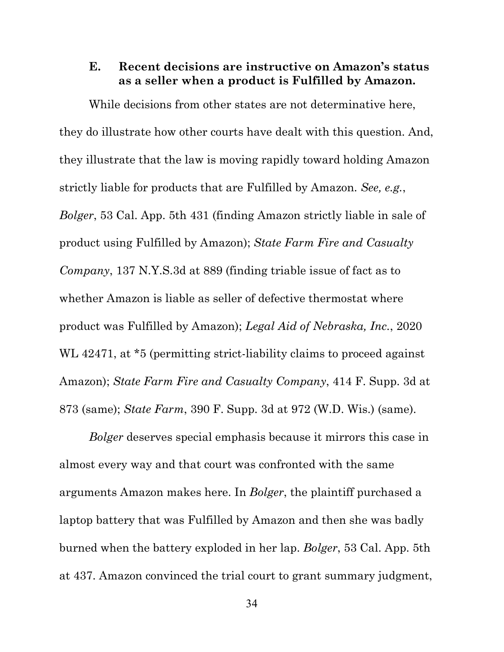### **E. Recent decisions are instructive on Amazon's status as a seller when a product is Fulfilled by Amazon.**

While decisions from other states are not determinative here, they do illustrate how other courts have dealt with this question. And, they illustrate that the law is moving rapidly toward holding Amazon strictly liable for products that are Fulfilled by Amazon. *See, e.g.*, *Bolger*, 53 Cal. App. 5th 431 (finding Amazon strictly liable in sale of product using Fulfilled by Amazon); *State Farm Fire and Casualty Company*, 137 N.Y.S.3d at 889 (finding triable issue of fact as to whether Amazon is liable as seller of defective thermostat where product was Fulfilled by Amazon); *Legal Aid of Nebraska, Inc.*, 2020 WL 42471, at  $*5$  (permitting strict-liability claims to proceed against Amazon); *State Farm Fire and Casualty Company*, 414 F. Supp. 3d at 873 (same); *State Farm*, 390 F. Supp. 3d at 972 (W.D. Wis.) (same).

*Bolger* deserves special emphasis because it mirrors this case in almost every way and that court was confronted with the same arguments Amazon makes here. In *Bolger*, the plaintiff purchased a laptop battery that was Fulfilled by Amazon and then she was badly burned when the battery exploded in her lap. *Bolger*, 53 Cal. App. 5th at 437. Amazon convinced the trial court to grant summary judgment,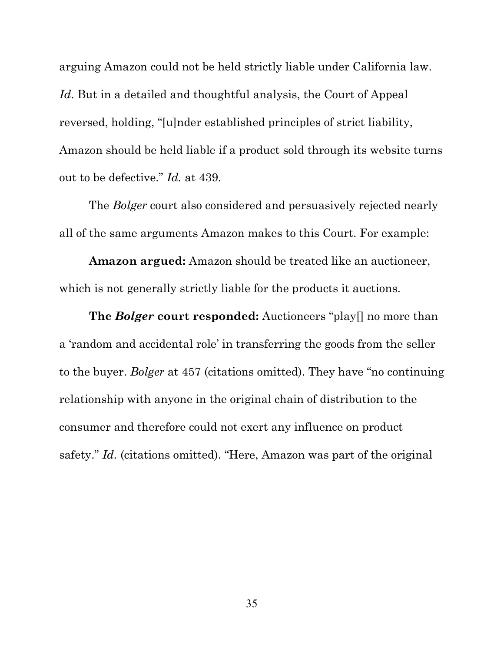arguing Amazon could not be held strictly liable under California law. *Id*. But in a detailed and thoughtful analysis, the Court of Appeal reversed, holding, "[u]nder established principles of strict liability, Amazon should be held liable if a product sold through its website turns out to be defective." *Id.* at 439.

The *Bolger* court also considered and persuasively rejected nearly all of the same arguments Amazon makes to this Court. For example:

**Amazon argued:** Amazon should be treated like an auctioneer, which is not generally strictly liable for the products it auctions.

**The** *Bolger* **court responded:** Auctioneers "play[] no more than a 'random and accidental role' in transferring the goods from the seller to the buyer. *Bolger* at 457 (citations omitted). They have "no continuing relationship with anyone in the original chain of distribution to the consumer and therefore could not exert any influence on product safety." *Id.* (citations omitted). "Here, Amazon was part of the original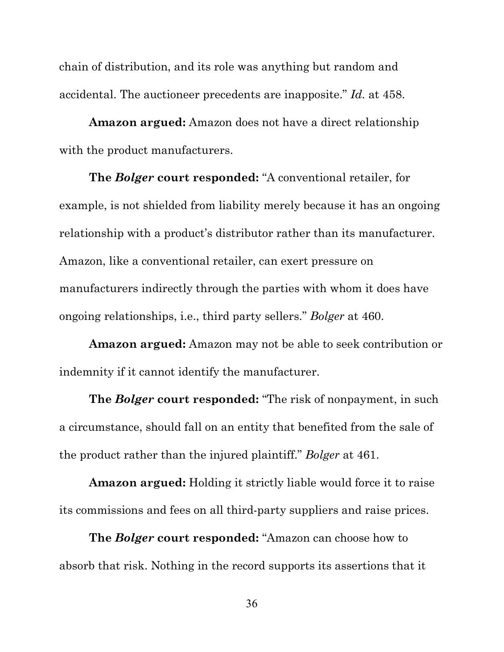chain of distribution, and its role was anything but random and accidental. The auctioneer precedents are inapposite." *Id.* at 458.

**Amazon argued:** Amazon does not have a direct relationship with the product manufacturers.

**The** *Bolger* **court responded:** "A conventional retailer, for example, is not shielded from liability merely because it has an ongoing relationship with a product's distributor rather than its manufacturer. Amazon, like a conventional retailer, can exert pressure on manufacturers indirectly through the parties with whom it does have ongoing relationships, i.e., third party sellers." *Bolger* at 460.

**Amazon argued:** Amazon may not be able to seek contribution or indemnity if it cannot identify the manufacturer.

**The** *Bolger* **court responded:** "The risk of nonpayment, in such a circumstance, should fall on an entity that benefited from the sale of the product rather than the injured plaintiff." *Bolger* at 461.

**Amazon argued:** Holding it strictly liable would force it to raise its commissions and fees on all third-party suppliers and raise prices.

**The** *Bolger* **court responded:** "Amazon can choose how to absorb that risk. Nothing in the record supports its assertions that it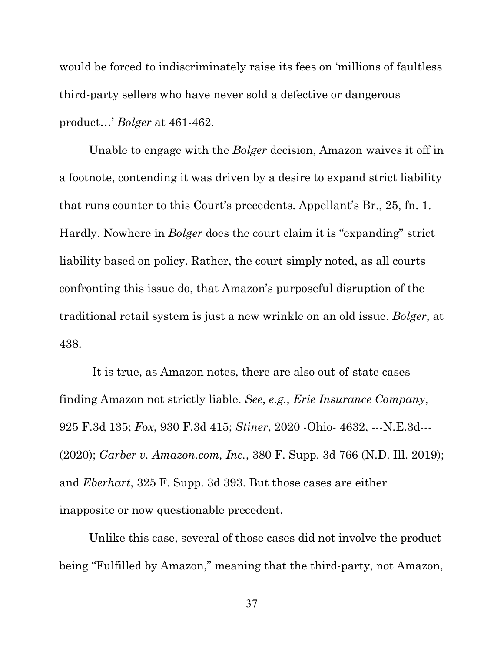would be forced to indiscriminately raise its fees on 'millions of faultless third-party sellers who have never sold a defective or dangerous product…' *Bolger* at 461-462.

Unable to engage with the *Bolger* decision, Amazon waives it off in a footnote, contending it was driven by a desire to expand strict liability that runs counter to this Court's precedents. Appellant's Br., 25, fn. 1. Hardly. Nowhere in *Bolger* does the court claim it is "expanding" strict liability based on policy. Rather, the court simply noted, as all courts confronting this issue do, that Amazon's purposeful disruption of the traditional retail system is just a new wrinkle on an old issue. *Bolger*, at 438.

It is true, as Amazon notes, there are also out-of-state cases finding Amazon not strictly liable. *See*, *e.g.*, *Erie Insurance Company*, 925 F.3d 135; *Fox*, 930 F.3d 415; *Stiner*, 2020 -Ohio- 4632, ---N.E.3d--- (2020); *Garber v. Amazon.com, Inc.*, 380 F. Supp. 3d 766 (N.D. Ill. 2019); and *Eberhart*, 325 F. Supp. 3d 393. But those cases are either inapposite or now questionable precedent.

Unlike this case, several of those cases did not involve the product being "Fulfilled by Amazon," meaning that the third-party, not Amazon,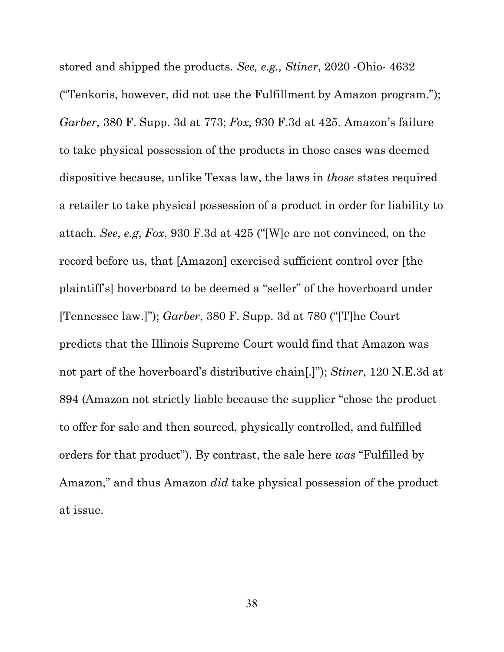stored and shipped the products. *See, e.g., Stiner*, 2020 -Ohio- 4632 ("Tenkoris, however, did not use the Fulfillment by Amazon program."); *Garber*, 380 F. Supp. 3d at 773; *Fox*, 930 F.3d at 425. Amazon's failure to take physical possession of the products in those cases was deemed dispositive because, unlike Texas law, the laws in *those* states required a retailer to take physical possession of a product in order for liability to attach. *See*, *e.g*, *Fox*, 930 F.3d at 425 ("[W]e are not convinced, on the record before us, that [Amazon] exercised sufficient control over [the plaintiff's] hoverboard to be deemed a "seller" of the hoverboard under [Tennessee law.]"); *Garber*, 380 F. Supp. 3d at 780 ("[T]he Court predicts that the Illinois Supreme Court would find that Amazon was not part of the hoverboard's distributive chain[.]"); *Stiner*, 120 N.E.3d at 894 (Amazon not strictly liable because the supplier "chose the product to offer for sale and then sourced, physically controlled, and fulfilled orders for that product"). By contrast, the sale here *was* "Fulfilled by Amazon," and thus Amazon *did* take physical possession of the product at issue.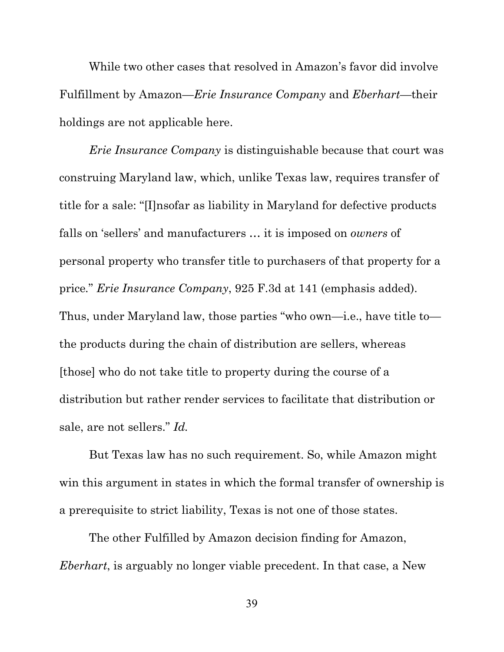While two other cases that resolved in Amazon's favor did involve Fulfillment by Amazon—*Erie Insurance Company* and *Eberhart*—their holdings are not applicable here.

*Erie Insurance Company* is distinguishable because that court was construing Maryland law, which, unlike Texas law, requires transfer of title for a sale: "[I]nsofar as liability in Maryland for defective products falls on 'sellers' and manufacturers … it is imposed on *owners* of personal property who transfer title to purchasers of that property for a price*.*" *Erie Insurance Company*, 925 F.3d at 141 (emphasis added). Thus, under Maryland law, those parties "who own—i.e., have title to the products during the chain of distribution are sellers, whereas [those] who do not take title to property during the course of a distribution but rather render services to facilitate that distribution or sale, are not sellers." *Id.*

But Texas law has no such requirement. So, while Amazon might win this argument in states in which the formal transfer of ownership is a prerequisite to strict liability, Texas is not one of those states.

The other Fulfilled by Amazon decision finding for Amazon, *Eberhart*, is arguably no longer viable precedent. In that case, a New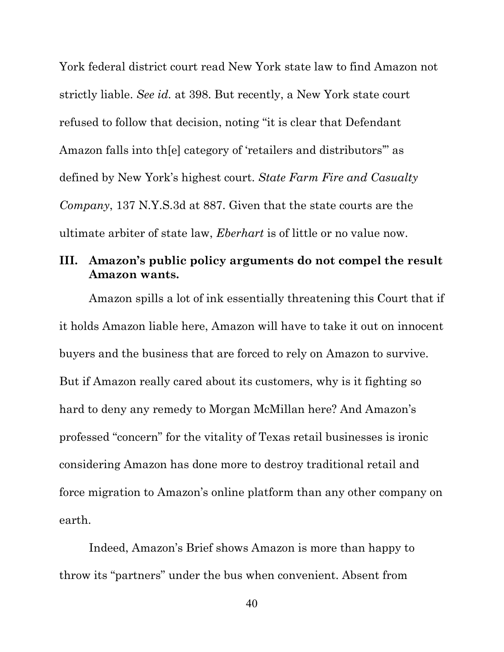York federal district court read New York state law to find Amazon not strictly liable. *See id.* at 398. But recently, a New York state court refused to follow that decision, noting "it is clear that Defendant Amazon falls into th[e] category of 'retailers and distributors'" as defined by New York's highest court. *State Farm Fire and Casualty Company*, 137 N.Y.S.3d at 887. Given that the state courts are the ultimate arbiter of state law, *Eberhart* is of little or no value now.

## **III. Amazon's public policy arguments do not compel the result Amazon wants.**

Amazon spills a lot of ink essentially threatening this Court that if it holds Amazon liable here, Amazon will have to take it out on innocent buyers and the business that are forced to rely on Amazon to survive. But if Amazon really cared about its customers, why is it fighting so hard to deny any remedy to Morgan McMillan here? And Amazon's professed "concern" for the vitality of Texas retail businesses is ironic considering Amazon has done more to destroy traditional retail and force migration to Amazon's online platform than any other company on earth.

Indeed, Amazon's Brief shows Amazon is more than happy to throw its "partners" under the bus when convenient. Absent from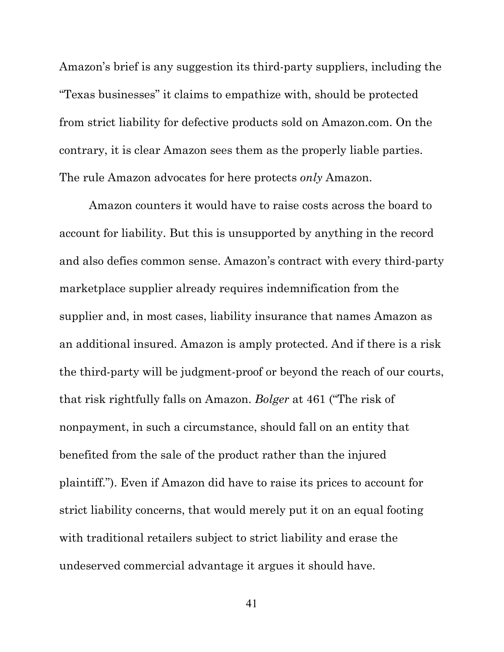Amazon's brief is any suggestion its third-party suppliers, including the "Texas businesses" it claims to empathize with, should be protected from strict liability for defective products sold on Amazon.com. On the contrary, it is clear Amazon sees them as the properly liable parties. The rule Amazon advocates for here protects *only* Amazon.

Amazon counters it would have to raise costs across the board to account for liability. But this is unsupported by anything in the record and also defies common sense. Amazon's contract with every third-party marketplace supplier already requires indemnification from the supplier and, in most cases, liability insurance that names Amazon as an additional insured. Amazon is amply protected. And if there is a risk the third-party will be judgment-proof or beyond the reach of our courts, that risk rightfully falls on Amazon. *Bolger* at 461 ("The risk of nonpayment, in such a circumstance, should fall on an entity that benefited from the sale of the product rather than the injured plaintiff."). Even if Amazon did have to raise its prices to account for strict liability concerns, that would merely put it on an equal footing with traditional retailers subject to strict liability and erase the undeserved commercial advantage it argues it should have.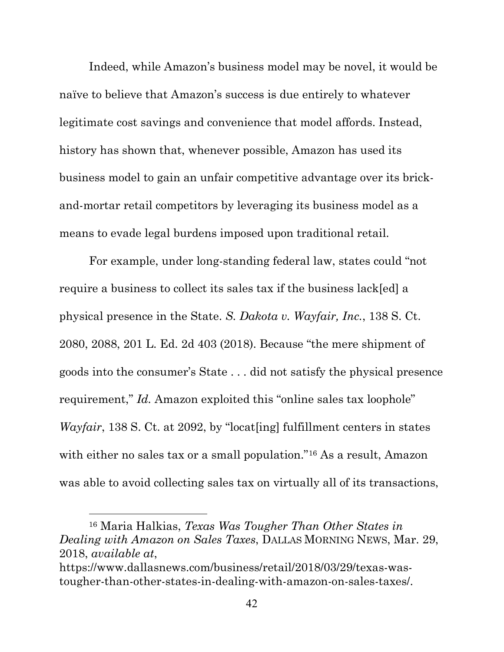Indeed, while Amazon's business model may be novel, it would be naïve to believe that Amazon's success is due entirely to whatever legitimate cost savings and convenience that model affords. Instead, history has shown that, whenever possible, Amazon has used its business model to gain an unfair competitive advantage over its brickand-mortar retail competitors by leveraging its business model as a means to evade legal burdens imposed upon traditional retail.

For example, under long-standing federal law, states could "not require a business to collect its sales tax if the business lack[ed] a physical presence in the State. *S. Dakota v. Wayfair, Inc.*, 138 S. Ct. 2080, 2088, 201 L. Ed. 2d 403 (2018). Because "the mere shipment of goods into the consumer's State . . . did not satisfy the physical presence requirement," *Id.* Amazon exploited this "online sales tax loophole" *Wayfair*, 138 S. Ct. at 2092, by "locat<sup>[ing]</sup> fulfillment centers in states with either no sales tax or a small population."<sup>[16](#page-51-0)</sup> As a result, Amazon was able to avoid collecting sales tax on virtually all of its transactions,

<span id="page-51-0"></span><sup>16</sup> Maria Halkias, *Texas Was Tougher Than Other States in Dealing with Amazon on Sales Taxes*, DALLAS MORNING NEWS, Mar. 29, 2018, *available at*, https://www.dallasnews.com/business/retail/2018/03/29/texas-wastougher-than-other-states-in-dealing-with-amazon-on-sales-taxes/.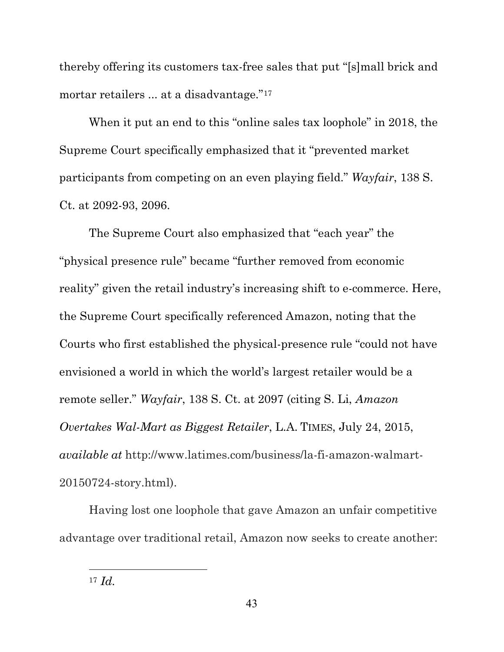thereby offering its customers tax-free sales that put "[s]mall brick and mortar retailers ... at a disadvantage."<sup>[17](#page-52-0)</sup>

When it put an end to this "online sales tax loophole" in 2018, the Supreme Court specifically emphasized that it "prevented market participants from competing on an even playing field." *Wayfair*, 138 S. Ct. at 2092-93, 2096.

The Supreme Court also emphasized that "each year" the "physical presence rule" became "further removed from economic reality" given the retail industry's increasing shift to e-commerce. Here, the Supreme Court specifically referenced Amazon, noting that the Courts who first established the physical-presence rule "could not have envisioned a world in which the world's largest retailer would be a remote seller." *Wayfair*, 138 S. Ct. at 2097 (citing S. Li, *Amazon Overtakes Wal-Mart as Biggest Retailer*, L.A. TIMES, July 24, 2015, *available at* http://www.latimes.com/business/la-fi-amazon-walmart-20150724-story.html).

Having lost one loophole that gave Amazon an unfair competitive advantage over traditional retail, Amazon now seeks to create another:

<span id="page-52-0"></span><sup>17</sup> *Id.*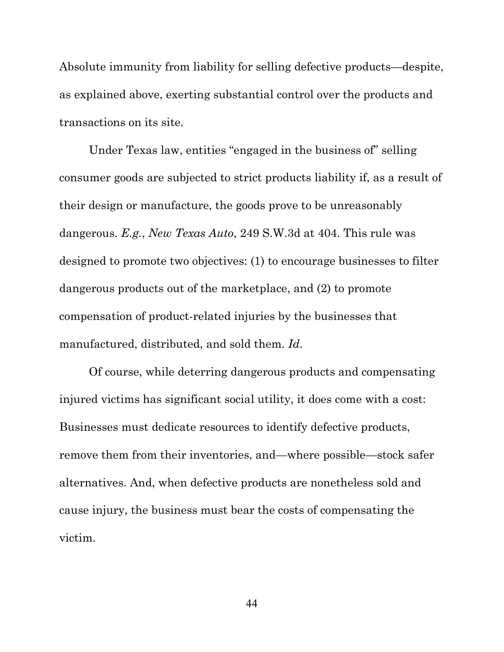Absolute immunity from liability for selling defective products—despite, as explained above, exerting substantial control over the products and transactions on its site.

Under Texas law, entities "engaged in the business of" selling consumer goods are subjected to strict products liability if, as a result of their design or manufacture, the goods prove to be unreasonably dangerous. *E.g.*, *New Texas Auto*, 249 S.W.3d at 404. This rule was designed to promote two objectives: (1) to encourage businesses to filter dangerous products out of the marketplace, and (2) to promote compensation of product-related injuries by the businesses that manufactured, distributed, and sold them. *Id.*

Of course, while deterring dangerous products and compensating injured victims has significant social utility, it does come with a cost: Businesses must dedicate resources to identify defective products, remove them from their inventories, and—where possible—stock safer alternatives. And, when defective products are nonetheless sold and cause injury, the business must bear the costs of compensating the victim.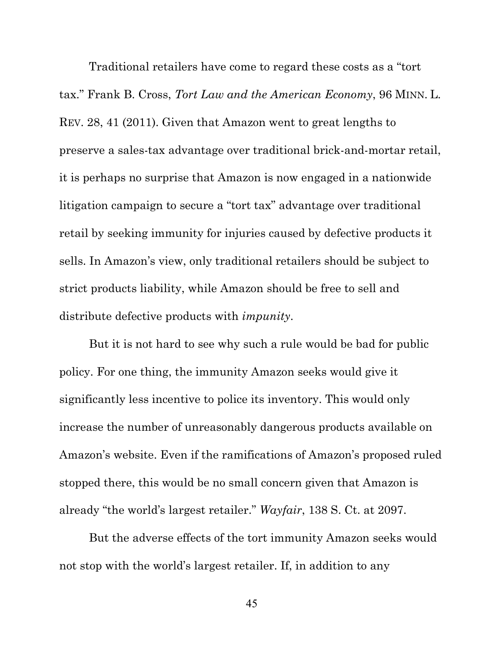Traditional retailers have come to regard these costs as a "tort tax." Frank B. Cross, *Tort Law and the American Economy*, 96 MINN. L. REV. 28, 41 (2011). Given that Amazon went to great lengths to preserve a sales-tax advantage over traditional brick-and-mortar retail, it is perhaps no surprise that Amazon is now engaged in a nationwide litigation campaign to secure a "tort tax" advantage over traditional retail by seeking immunity for injuries caused by defective products it sells. In Amazon's view, only traditional retailers should be subject to strict products liability, while Amazon should be free to sell and distribute defective products with *impunity*.

But it is not hard to see why such a rule would be bad for public policy. For one thing, the immunity Amazon seeks would give it significantly less incentive to police its inventory. This would only increase the number of unreasonably dangerous products available on Amazon's website. Even if the ramifications of Amazon's proposed ruled stopped there, this would be no small concern given that Amazon is already "the world's largest retailer." *Wayfair*, 138 S. Ct. at 2097.

But the adverse effects of the tort immunity Amazon seeks would not stop with the world's largest retailer. If, in addition to any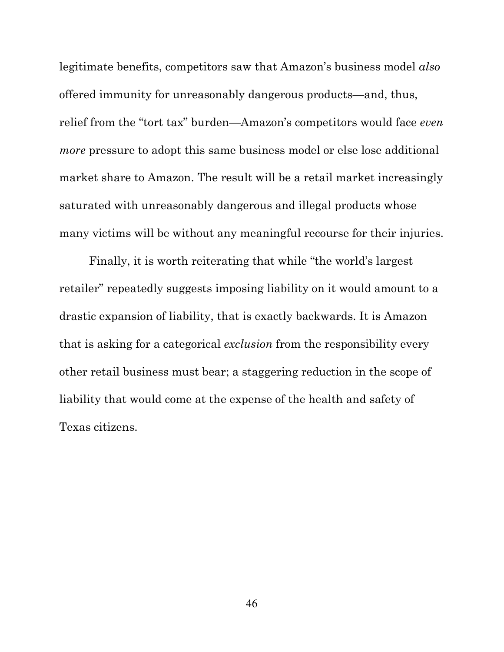legitimate benefits, competitors saw that Amazon's business model *also* offered immunity for unreasonably dangerous products—and, thus, relief from the "tort tax" burden—Amazon's competitors would face *even more* pressure to adopt this same business model or else lose additional market share to Amazon. The result will be a retail market increasingly saturated with unreasonably dangerous and illegal products whose many victims will be without any meaningful recourse for their injuries.

Finally, it is worth reiterating that while "the world's largest retailer" repeatedly suggests imposing liability on it would amount to a drastic expansion of liability, that is exactly backwards. It is Amazon that is asking for a categorical *exclusion* from the responsibility every other retail business must bear; a staggering reduction in the scope of liability that would come at the expense of the health and safety of Texas citizens.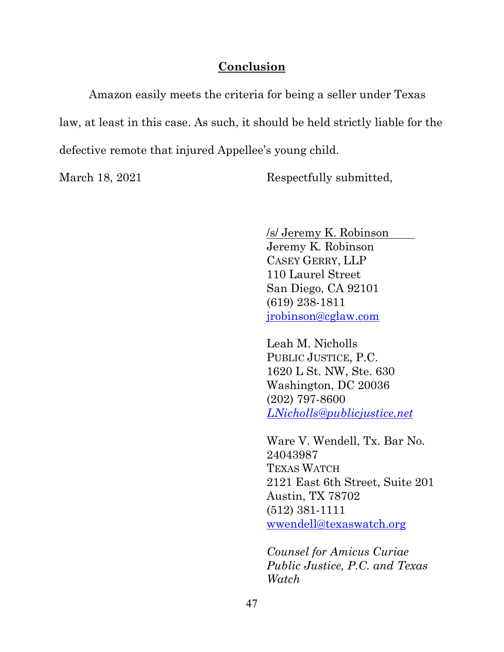#### **Conclusion**

Amazon easily meets the criteria for being a seller under Texas law, at least in this case. As such, it should be held strictly liable for the defective remote that injured Appellee's young child.

March 18, 2021 Respectfully submitted,

/s/ Jeremy K. Robinson Jeremy K. Robinson CASEY GERRY, LLP 110 Laurel Street San Diego, CA 92101 (619) 238-1811 [jrobinson@cglaw.com](mailto:jrobinson@cglaw.com)

Leah M. Nicholls PUBLIC JUSTICE, P.C. 1620 L St. NW, Ste. 630 Washington, DC 20036 (202) 797-8600 *[LNicholls@publicjustice.net](mailto:LNicholls@publicjustice.net)*

Ware V. Wendell, Tx. Bar No. 24043987 TEXAS WATCH 2121 East 6th Street, Suite 201 Austin, TX 78702 (512) 381-1111 [wwendell@texaswatch.org](mailto:wwendell@texaswatch.org)

*Counsel for Amicus Curiae Public Justice, P.C. and Texas Watch*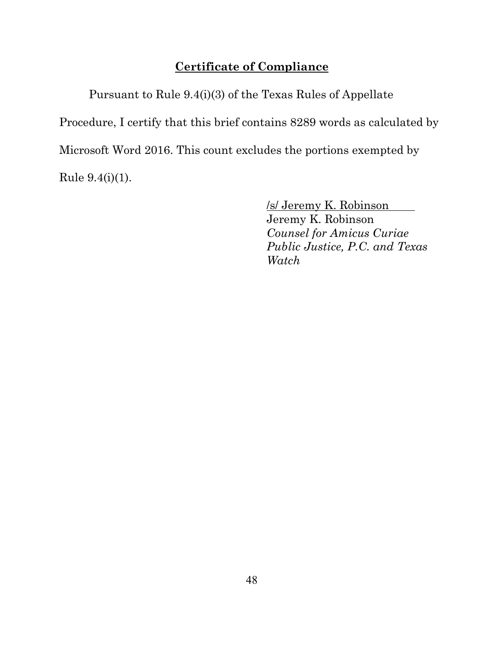## **Certificate of Compliance**

Pursuant to Rule 9.4(i)(3) of the Texas Rules of Appellate Procedure, I certify that this brief contains 8289 words as calculated by Microsoft Word 2016. This count excludes the portions exempted by Rule 9.4(i)(1).

/s/ Jeremy K. Robinson

Jeremy K. Robinson *Counsel for Amicus Curiae Public Justice, P.C. and Texas Watch*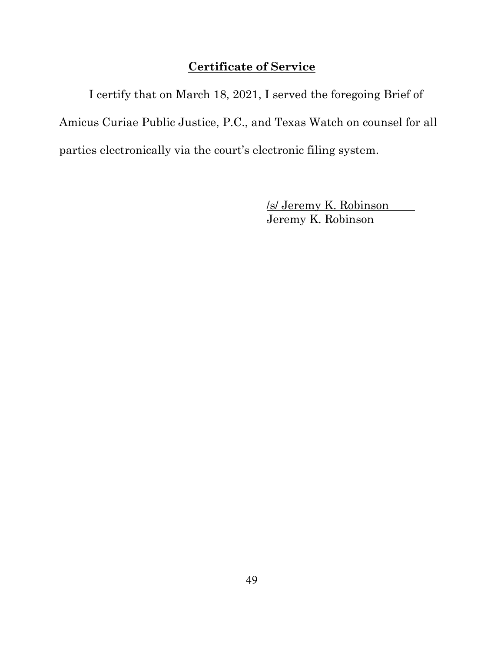## **Certificate of Service**

I certify that on March 18, 2021, I served the foregoing Brief of Amicus Curiae Public Justice, P.C., and Texas Watch on counsel for all parties electronically via the court's electronic filing system.

> /s/ Jeremy K. Robinson Jeremy K. Robinson